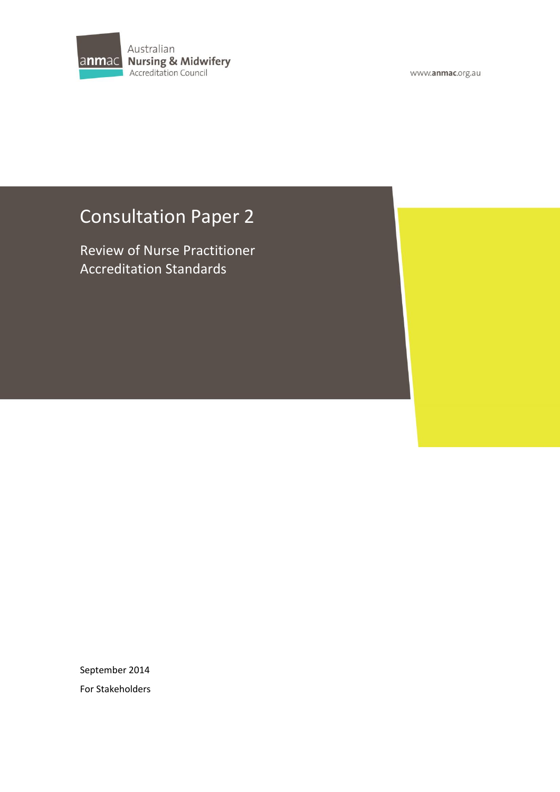

www.anmac.org.au

# Consultation Paper 2

Review of Nurse Practitioner Accreditation Standards

September 2014 For Stakeholders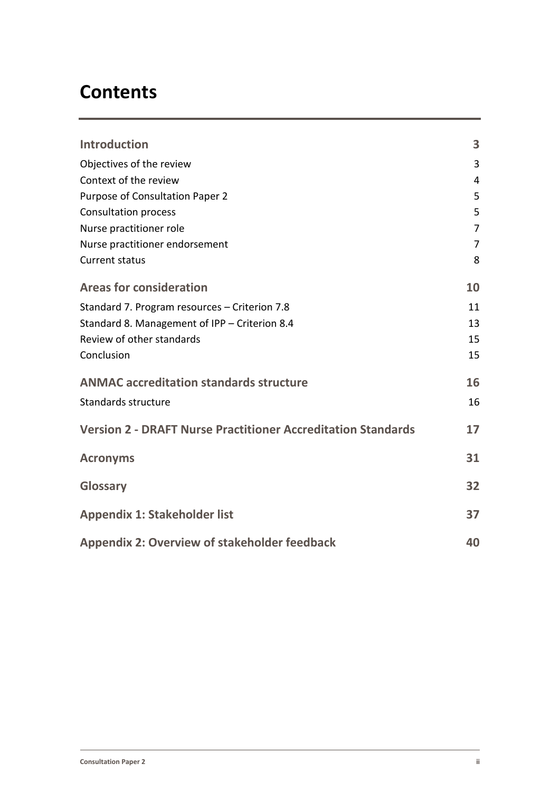# **Contents**

| <b>Introduction</b>                                                 | 3              |
|---------------------------------------------------------------------|----------------|
| Objectives of the review                                            | 3              |
| Context of the review                                               | 4              |
| Purpose of Consultation Paper 2                                     | 5              |
| <b>Consultation process</b>                                         | 5              |
| Nurse practitioner role                                             | $\overline{7}$ |
| Nurse practitioner endorsement                                      | $\overline{7}$ |
| <b>Current status</b>                                               | 8              |
| <b>Areas for consideration</b>                                      | 10             |
| Standard 7. Program resources - Criterion 7.8                       | 11             |
| Standard 8. Management of IPP - Criterion 8.4                       | 13             |
| Review of other standards                                           | 15             |
| Conclusion                                                          | 15             |
| <b>ANMAC accreditation standards structure</b>                      | 16             |
| Standards structure                                                 | 16             |
| <b>Version 2 - DRAFT Nurse Practitioner Accreditation Standards</b> | 17             |
| <b>Acronyms</b>                                                     | 31             |
| Glossary                                                            | 32             |
| <b>Appendix 1: Stakeholder list</b>                                 | 37             |
| <b>Appendix 2: Overview of stakeholder feedback</b>                 | 40             |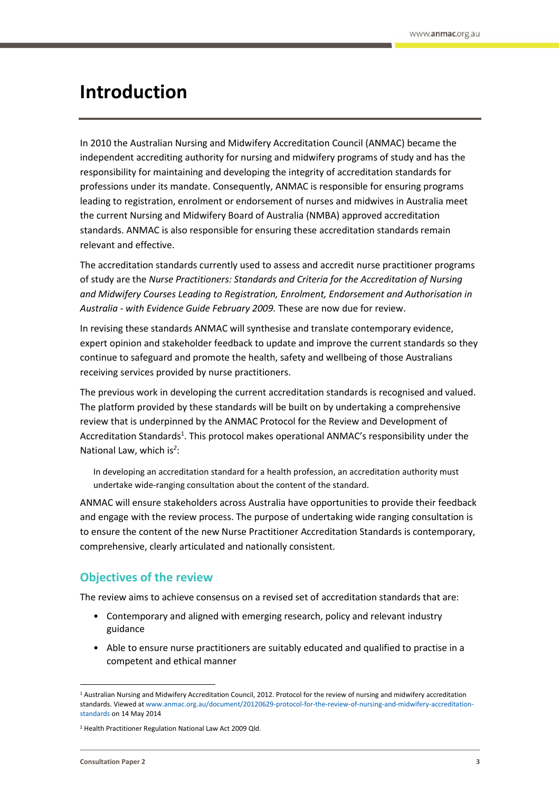## <span id="page-2-0"></span>**Introduction**

In 2010 the Australian Nursing and Midwifery Accreditation Council (ANMAC) became the independent accrediting authority for nursing and midwifery programs of study and has the responsibility for maintaining and developing the integrity of accreditation standards for professions under its mandate. Consequently, ANMAC is responsible for ensuring programs leading to registration, enrolment or endorsement of nurses and midwives in Australia meet the current Nursing and Midwifery Board of Australia (NMBA) approved accreditation standards. ANMAC is also responsible for ensuring these accreditation standards remain relevant and effective.

The accreditation standards currently used to assess and accredit nurse practitioner programs of study are the *Nurse Practitioners: Standards and Criteria for the Accreditation of Nursing and Midwifery Courses Leading to Registration, Enrolment, Endorsement and Authorisation in Australia - with Evidence Guide February 2009.* These are now due for review.

In revising these standards ANMAC will synthesise and translate contemporary evidence, expert opinion and stakeholder feedback to update and improve the current standards so they continue to safeguard and promote the health, safety and wellbeing of those Australians receiving services provided by nurse practitioners.

The previous work in developing the current accreditation standards is recognised and valued. The platform provided by these standards will be built on by undertaking a comprehensive review that is underpinned by the ANMAC Protocol for the Review and Development of Accreditation Standards<sup>1</sup>. This protocol makes operational ANMAC's responsibility under the National Law, which is*<sup>2</sup>* :

In developing an accreditation standard for a health profession, an accreditation authority must undertake wide-ranging consultation about the content of the standard*.*

ANMAC will ensure stakeholders across Australia have opportunities to provide their feedback and engage with the review process. The purpose of undertaking wide ranging consultation is to ensure the content of the new Nurse Practitioner Accreditation Standards is contemporary, comprehensive, clearly articulated and nationally consistent.

## <span id="page-2-1"></span>**Objectives of the review**

The review aims to achieve consensus on a revised set of accreditation standards that are:

- Contemporary and aligned with emerging research, policy and relevant industry guidance
- Able to ensure nurse practitioners are suitably educated and qualified to practise in a competent and ethical manner

 $\overline{a}$ 

<sup>1</sup> Australian Nursing and Midwifery Accreditation Council, 2012. Protocol for the review of nursing and midwifery accreditation standards. Viewed a[t www.anmac.org.au/document/20120629-protocol-for-the-review-of-nursing-and-midwifery-accreditation](http://www.anmac.org.au/document/20120629-protocol-for-the-review-of-nursing-and-midwifery-accreditation-standards)[standards](http://www.anmac.org.au/document/20120629-protocol-for-the-review-of-nursing-and-midwifery-accreditation-standards) on 14 May 2014

<sup>2</sup> Health Practitioner Regulation National Law Act 2009 Qld.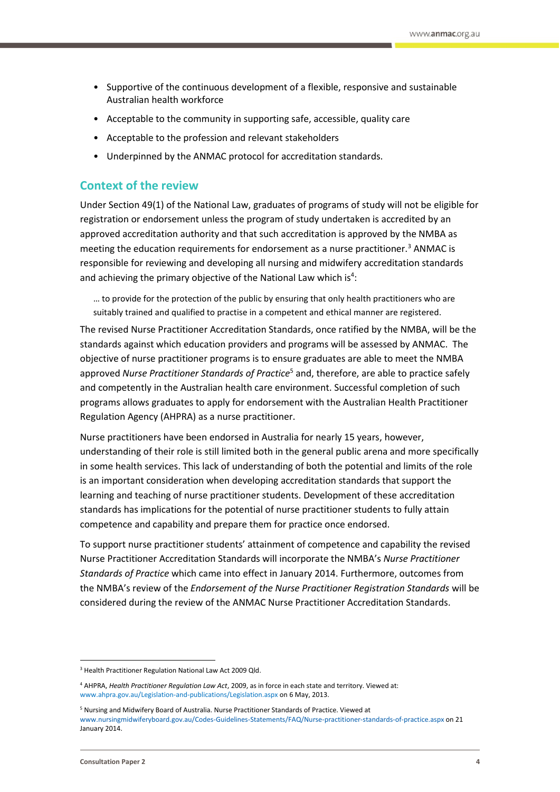- Supportive of the continuous development of a flexible, responsive and sustainable Australian health workforce
- Acceptable to the community in supporting safe, accessible, quality care
- Acceptable to the profession and relevant stakeholders
- Underpinned by the ANMAC protocol for accreditation standards.

#### <span id="page-3-0"></span>**Context of the review**

Under Section 49(1) of the National Law, graduates of programs of study will not be eligible for registration or endorsement unless the program of study undertaken is accredited by an approved accreditation authority and that such accreditation is approved by the NMBA as meeting the education requirements for endorsement as a nurse practitioner.<sup>3</sup> ANMAC is responsible for reviewing and developing all nursing and midwifery accreditation standards and achieving the primary objective of the National Law which is<sup>4</sup>:

… to provide for the protection of the public by ensuring that only health practitioners who are suitably trained and qualified to practise in a competent and ethical manner are registered.

The revised Nurse Practitioner Accreditation Standards, once ratified by the NMBA, will be the standards against which education providers and programs will be assessed by ANMAC. The objective of nurse practitioner programs is to ensure graduates are able to meet the NMBA approved *Nurse Practitioner Standards of Practice*<sup>5</sup> and, therefore, are able to practice safely and competently in the Australian health care environment. Successful completion of such programs allows graduates to apply for endorsement with the Australian Health Practitioner Regulation Agency (AHPRA) as a nurse practitioner.

Nurse practitioners have been endorsed in Australia for nearly 15 years, however, understanding of their role is still limited both in the general public arena and more specifically in some health services. This lack of understanding of both the potential and limits of the role is an important consideration when developing accreditation standards that support the learning and teaching of nurse practitioner students. Development of these accreditation standards has implications for the potential of nurse practitioner students to fully attain competence and capability and prepare them for practice once endorsed.

To support nurse practitioner students' attainment of competence and capability the revised Nurse Practitioner Accreditation Standards will incorporate the NMBA's *Nurse Practitioner Standards of Practice* which came into effect in January 2014. Furthermore, outcomes from the NMBA's review of the *Endorsement of the Nurse Practitioner Registration Standards* will be considered during the review of the ANMAC Nurse Practitioner Accreditation Standards.

<sup>3</sup> Health Practitioner Regulation National Law Act 2009 Qld.

<sup>4</sup> AHPRA, *Health Practitioner Regulation Law Act*, 2009, as in force in each state and territory. Viewed at: www.ahpra.gov.au/Legislation-and-publications/Legislation.aspx on 6 May, 2013.

<sup>5</sup> Nursing and Midwifery Board of Australia. Nurse Practitioner Standards of Practice. Viewed at [www.nursingmidwiferyboard.gov.au/Codes-Guidelines-Statements/FAQ/Nurse-practitioner-standards-of-practice.aspx](http://www.nursingmidwiferyboard.gov.au/Codes-Guidelines-Statements/FAQ/Nurse-practitioner-standards-of-practice.aspx) on 21 January 2014.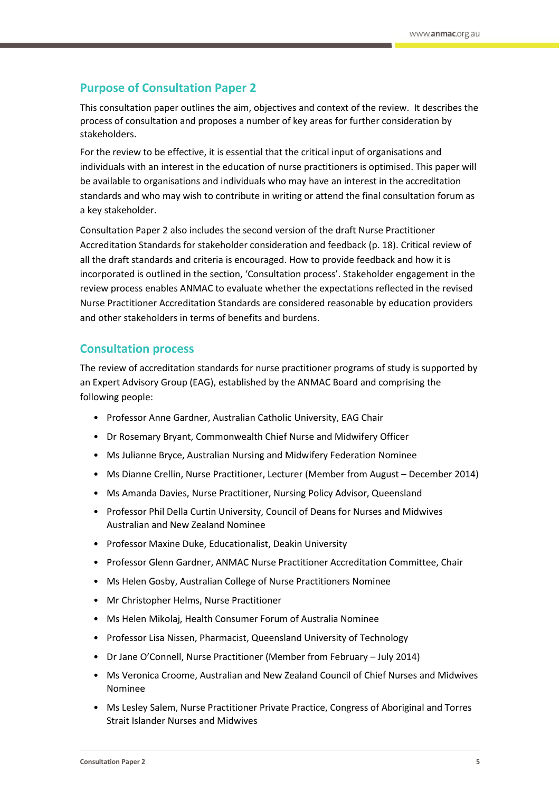## <span id="page-4-0"></span>**Purpose of Consultation Paper 2**

This consultation paper outlines the aim, objectives and context of the review. It describes the process of consultation and proposes a number of key areas for further consideration by stakeholders.

For the review to be effective, it is essential that the critical input of organisations and individuals with an interest in the education of nurse practitioners is optimised. This paper will be available to organisations and individuals who may have an interest in the accreditation standards and who may wish to contribute in writing or attend the final consultation forum as a key stakeholder.

Consultation Paper 2 also includes the second version of the draft Nurse Practitioner Accreditation Standards for stakeholder consideration and feedback (p. 18). Critical review of all the draft standards and criteria is encouraged. How to provide feedback and how it is incorporated is outlined in the section, 'Consultation process'. Stakeholder engagement in the review process enables ANMAC to evaluate whether the expectations reflected in the revised Nurse Practitioner Accreditation Standards are considered reasonable by education providers and other stakeholders in terms of benefits and burdens.

## <span id="page-4-1"></span>**Consultation process**

The review of accreditation standards for nurse practitioner programs of study is supported by an Expert Advisory Group (EAG), established by the ANMAC Board and comprising the following people:

- Professor Anne Gardner, Australian Catholic University, EAG Chair
- Dr Rosemary Bryant, Commonwealth Chief Nurse and Midwifery Officer
- Ms Julianne Bryce, Australian Nursing and Midwifery Federation Nominee
- Ms Dianne Crellin, Nurse Practitioner, Lecturer (Member from August December 2014)
- Ms Amanda Davies, Nurse Practitioner, Nursing Policy Advisor, Queensland
- Professor Phil Della Curtin University, Council of Deans for Nurses and Midwives Australian and New Zealand Nominee
- Professor Maxine Duke, Educationalist, Deakin University
- Professor Glenn Gardner, ANMAC Nurse Practitioner Accreditation Committee, Chair
- Ms Helen Gosby, Australian College of Nurse Practitioners Nominee
- Mr Christopher Helms, Nurse Practitioner
- Ms Helen Mikolaj, Health Consumer Forum of Australia Nominee
- Professor Lisa Nissen, Pharmacist, Queensland University of Technology
- Dr Jane O'Connell, Nurse Practitioner (Member from February July 2014)
- Ms Veronica Croome, Australian and New Zealand Council of Chief Nurses and Midwives Nominee
- Ms Lesley Salem, Nurse Practitioner Private Practice, Congress of Aboriginal and Torres Strait Islander Nurses and Midwives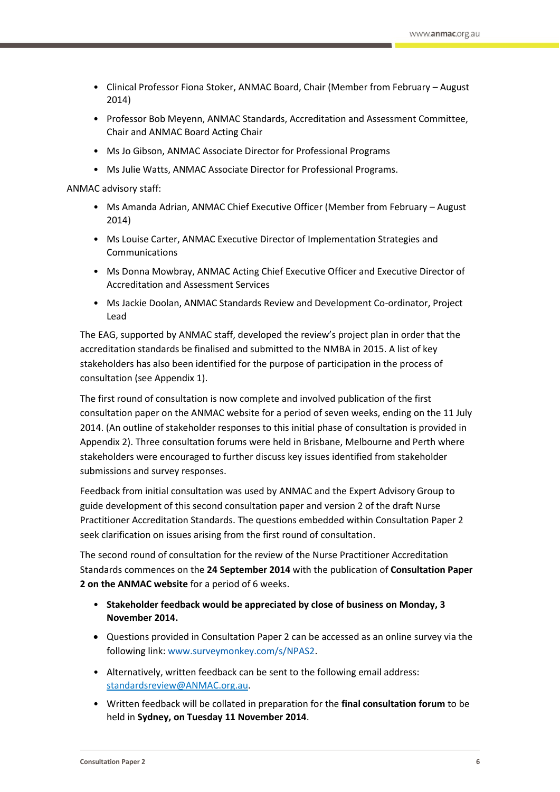- Clinical Professor Fiona Stoker, ANMAC Board, Chair (Member from February August 2014)
- Professor Bob Meyenn, ANMAC Standards, Accreditation and Assessment Committee, Chair and ANMAC Board Acting Chair
- Ms Jo Gibson, ANMAC Associate Director for Professional Programs
- Ms Julie Watts, ANMAC Associate Director for Professional Programs.

#### ANMAC advisory staff:

- Ms Amanda Adrian, ANMAC Chief Executive Officer (Member from February August 2014)
- Ms Louise Carter, ANMAC Executive Director of Implementation Strategies and Communications
- Ms Donna Mowbray, ANMAC Acting Chief Executive Officer and Executive Director of Accreditation and Assessment Services
- Ms Jackie Doolan, ANMAC Standards Review and Development Co-ordinator, Project Lead

The EAG, supported by ANMAC staff, developed the review's project plan in order that the accreditation standards be finalised and submitted to the NMBA in 2015. A list of key stakeholders has also been identified for the purpose of participation in the process of consultation (see Appendix 1).

The first round of consultation is now complete and involved publication of the first consultation paper on the ANMAC website for a period of seven weeks, ending on the 11 July 2014. (An outline of stakeholder responses to this initial phase of consultation is provided in Appendix 2). Three consultation forums were held in Brisbane, Melbourne and Perth where stakeholders were encouraged to further discuss key issues identified from stakeholder submissions and survey responses.

Feedback from initial consultation was used by ANMAC and the Expert Advisory Group to guide development of this second consultation paper and version 2 of the draft Nurse Practitioner Accreditation Standards. The questions embedded within Consultation Paper 2 seek clarification on issues arising from the first round of consultation.

The second round of consultation for the review of the Nurse Practitioner Accreditation Standards commences on the **24 September 2014** with the publication of **Consultation Paper 2 on the ANMAC website** for a period of 6 weeks.

- **Stakeholder feedback would be appreciated by close of business on Monday, 3 November 2014.**
- Questions provided in Consultation Paper 2 can be accessed as an online survey via the following link[: www.surveymonkey.com/s/NPAS2.](http://www.surveymonkey.com/s/NPAS2)
- Alternatively, written feedback can be sent to the following email address: standardsreview@ANMAC.org.au.
- Written feedback will be collated in preparation for the **final consultation forum** to be held in **Sydney, on Tuesday 11 November 2014**.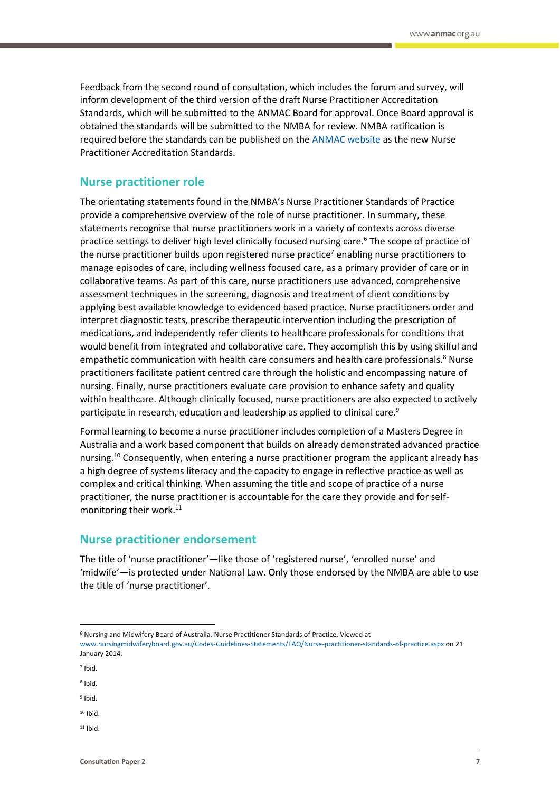Feedback from the second round of consultation, which includes the forum and survey, will inform development of the third version of the draft Nurse Practitioner Accreditation Standards, which will be submitted to the ANMAC Board for approval. Once Board approval is obtained the standards will be submitted to the NMBA for review. NMBA ratification is required before the standards can be published on the [ANMAC website](http://anmac.org.au/) as the new Nurse Practitioner Accreditation Standards.

#### <span id="page-6-0"></span>**Nurse practitioner role**

The orientating statements found in the NMBA's Nurse Practitioner Standards of Practice provide a comprehensive overview of the role of nurse practitioner. In summary, these statements recognise that nurse practitioners work in a variety of contexts across diverse practice settings to deliver high level clinically focused nursing care.<sup>6</sup> The scope of practice of the nurse practitioner builds upon registered nurse practice<sup>7</sup> enabling nurse practitioners to manage episodes of care, including wellness focused care, as a primary provider of care or in collaborative teams. As part of this care, nurse practitioners use advanced, comprehensive assessment techniques in the screening, diagnosis and treatment of client conditions by applying best available knowledge to evidenced based practice. Nurse practitioners order and interpret diagnostic tests, prescribe therapeutic intervention including the prescription of medications, and independently refer clients to healthcare professionals for conditions that would benefit from integrated and collaborative care. They accomplish this by using skilful and empathetic communication with health care consumers and health care professionals.<sup>8</sup> Nurse practitioners facilitate patient centred care through the holistic and encompassing nature of nursing. Finally, nurse practitioners evaluate care provision to enhance safety and quality within healthcare. Although clinically focused, nurse practitioners are also expected to actively participate in research, education and leadership as applied to clinical care.<sup>9</sup>

Formal learning to become a nurse practitioner includes completion of a Masters Degree in Australia and a work based component that builds on already demonstrated advanced practice nursing.<sup>10</sup> Consequently, when entering a nurse practitioner program the applicant already has a high degree of systems literacy and the capacity to engage in reflective practice as well as complex and critical thinking. When assuming the title and scope of practice of a nurse practitioner, the nurse practitioner is accountable for the care they provide and for selfmonitoring their work.<sup>11</sup>

#### <span id="page-6-1"></span>**Nurse practitioner endorsement**

The title of 'nurse practitioner'—like those of 'registered nurse', 'enrolled nurse' and 'midwife'—is protected under National Law. Only those endorsed by the NMBA are able to use the title of 'nurse practitioner'.

- 8 Ibid.
- <sup>9</sup> Ibid.
- $10$  Ibid
- $11$  Ibid

<sup>6</sup> Nursing and Midwifery Board of Australia. Nurse Practitioner Standards of Practice. Viewed at [www.nursingmidwiferyboard.gov.au/Codes-Guidelines-Statements/FAQ/Nurse-practitioner-standards-of-practice.aspx](http://www.nursingmidwiferyboard.gov.au/Codes-Guidelines-Statements/FAQ/Nurse-practitioner-standards-of-practice.aspx) on 21 January 2014.

<sup>7</sup> Ibid.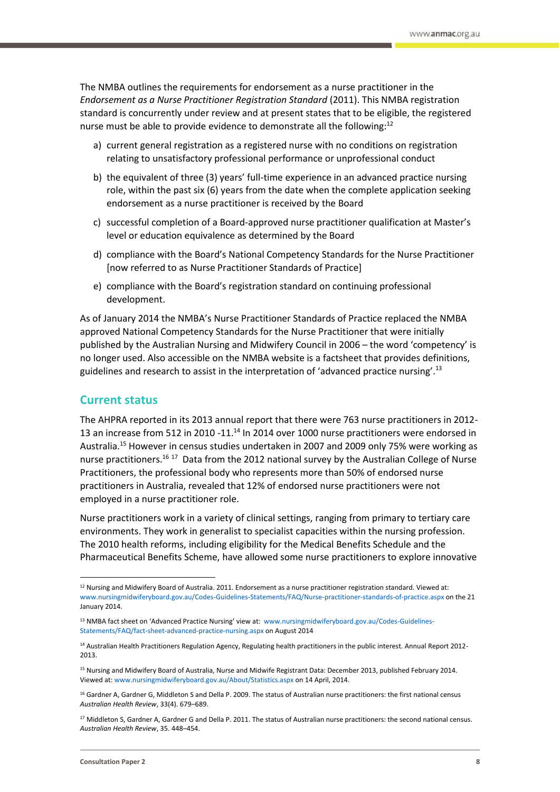The NMBA outlines the requirements for endorsement as a nurse practitioner in the *Endorsement as a Nurse Practitioner Registration Standard* (2011). This NMBA registration standard is concurrently under review and at present states that to be eligible, the registered nurse must be able to provide evidence to demonstrate all the following:<sup>12</sup>

- a) current general registration as a registered nurse with no conditions on registration relating to unsatisfactory professional performance or unprofessional conduct
- b) the equivalent of three (3) years' full-time experience in an advanced practice nursing role, within the past six (6) years from the date when the complete application seeking endorsement as a nurse practitioner is received by the Board
- c) successful completion of a Board-approved nurse practitioner qualification at Master's level or education equivalence as determined by the Board
- d) compliance with the Board's National Competency Standards for the Nurse Practitioner [now referred to as Nurse Practitioner Standards of Practice]
- e) compliance with the Board's registration standard on continuing professional development.

As of January 2014 the NMBA's Nurse Practitioner Standards of Practice replaced the NMBA approved National Competency Standards for the Nurse Practitioner that were initially published by the Australian Nursing and Midwifery Council in 2006 – the word 'competency' is no longer used. Also accessible on the NMBA website is a factsheet that provides definitions, guidelines and research to assist in the interpretation of 'advanced practice nursing'.<sup>13</sup>

## <span id="page-7-0"></span>**Current status**

The AHPRA reported in its 2013 annual report that there were 763 nurse practitioners in 2012- 13 an increase from 512 in 2010 -11.<sup>14</sup> In 2014 over 1000 nurse practitioners were endorsed in Australia.<sup>15</sup> However in census studies undertaken in 2007 and 2009 only 75% were working as nurse practitioners.<sup>16 17</sup> Data from the 2012 national survey by the Australian College of Nurse Practitioners, the professional body who represents more than 50% of endorsed nurse practitioners in Australia, revealed that 12% of endorsed nurse practitioners were not employed in a nurse practitioner role.

Nurse practitioners work in a variety of clinical settings, ranging from primary to tertiary care environments. They work in generalist to specialist capacities within the nursing profession. The 2010 health reforms, including eligibility for the Medical Benefits Schedule and the Pharmaceutical Benefits Scheme, have allowed some nurse practitioners to explore innovative

<sup>13</sup> NMBA fact sheet on 'Advanced Practice Nursing' view at: www.nursingmidwiferyboard.gov.au/Codes-Guidelines-Statements/FAQ/fact-sheet-advanced-practice-nursing.aspx on August 2014

1

<sup>&</sup>lt;sup>12</sup> Nursing and Midwifery Board of Australia. 2011. Endorsement as a nurse practitioner registration standard. Viewed at: [www.nursingmidwiferyboard.gov.au/Codes-Guidelines-Statements/FAQ/Nurse-practitioner-standards-of-practice.aspx](http://www.nursingmidwiferyboard.gov.au/Codes-Guidelines-Statements/FAQ/Nurse-practitioner-standards-of-practice.aspx) on the 21 January 2014.

<sup>14</sup> Australian Health Practitioners Regulation Agency, Regulating health practitioners in the public interest. Annual Report 2012- 2013.

<sup>15</sup> Nursing and Midwifery Board of Australia, Nurse and Midwife Registrant Data: December 2013, published February 2014. Viewed at[: www.nursingmidwiferyboard.gov.au/About/Statistics.aspx](http://www.nursingmidwiferyboard.gov.au/About/Statistics.aspx) on 14 April, 2014.

<sup>&</sup>lt;sup>16</sup> Gardner A, Gardner G, Middleton S and Della P. 2009. The status of Australian nurse practitioners: the first national census *Australian Health Review*, 33(4). 679–689.

<sup>&</sup>lt;sup>17</sup> Middleton S, Gardner A, Gardner G and Della P. 2011. The status of Australian nurse practitioners: the second national census. *Australian Health Review*, 35. 448–454.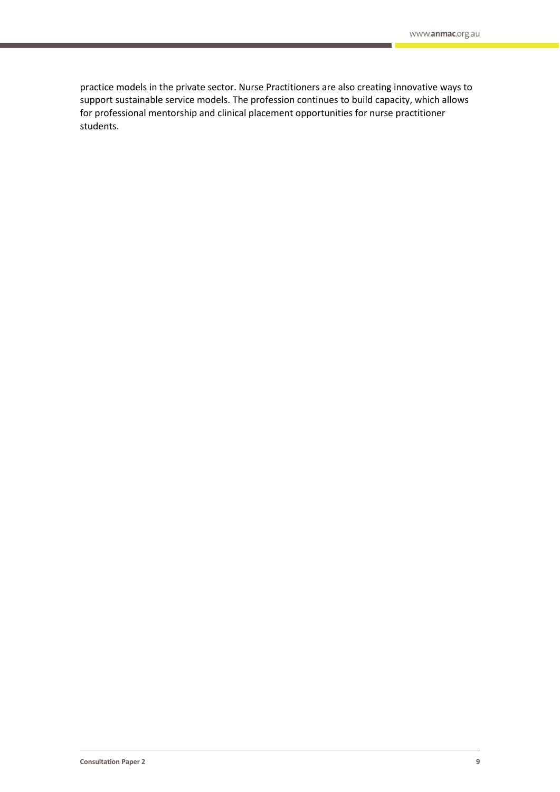practice models in the private sector. Nurse Practitioners are also creating innovative ways to support sustainable service models. The profession continues to build capacity, which allows for professional mentorship and clinical placement opportunities for nurse practitioner students.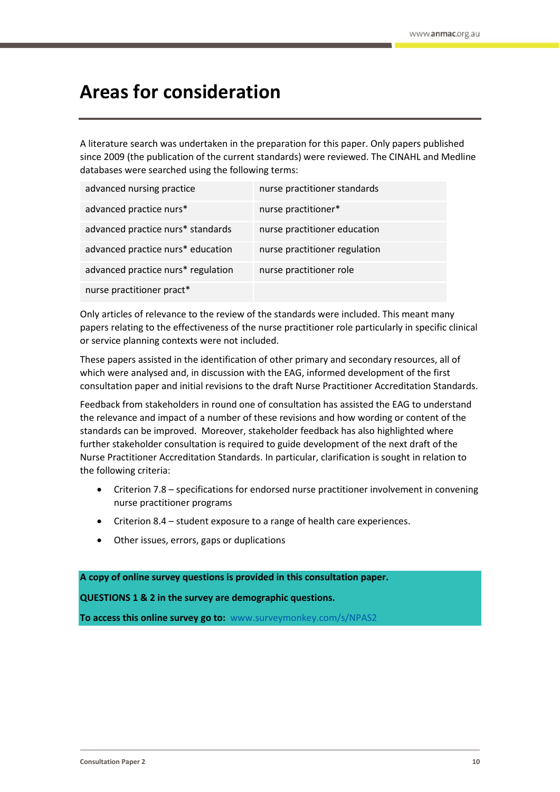## <span id="page-9-0"></span>**Areas for consideration**

A literature search was undertaken in the preparation for this paper. Only papers published since 2009 (the publication of the current standards) were reviewed. The CINAHL and Medline databases were searched using the following terms:

| advanced nursing practice          | nurse practitioner standards  |
|------------------------------------|-------------------------------|
| advanced practice nurs*            | nurse practitioner*           |
| advanced practice nurs* standards  | nurse practitioner education  |
| advanced practice nurs* education  | nurse practitioner regulation |
| advanced practice nurs* regulation | nurse practitioner role       |
| nurse practitioner pract*          |                               |

Only articles of relevance to the review of the standards were included. This meant many papers relating to the effectiveness of the nurse practitioner role particularly in specific clinical or service planning contexts were not included.

These papers assisted in the identification of other primary and secondary resources, all of which were analysed and, in discussion with the EAG, informed development of the first consultation paper and initial revisions to the draft Nurse Practitioner Accreditation Standards.

Feedback from stakeholders in round one of consultation has assisted the EAG to understand the relevance and impact of a number of these revisions and how wording or content of the standards can be improved. Moreover, stakeholder feedback has also highlighted where further stakeholder consultation is required to guide development of the next draft of the Nurse Practitioner Accreditation Standards. In particular, clarification is sought in relation to the following criteria:

- Criterion 7.8 specifications for endorsed nurse practitioner involvement in convening nurse practitioner programs
- Criterion 8.4 student exposure to a range of health care experiences.
- Other issues, errors, gaps or duplications

**A copy of online survey questions is provided in this consultation paper.**

**QUESTIONS 1 & 2 in the survey are demographic questions.**

**To access this online survey go to:** [www.surveymonkey.com/s/NPAS2](http://www.surveymonkey.com/s/NPAS2)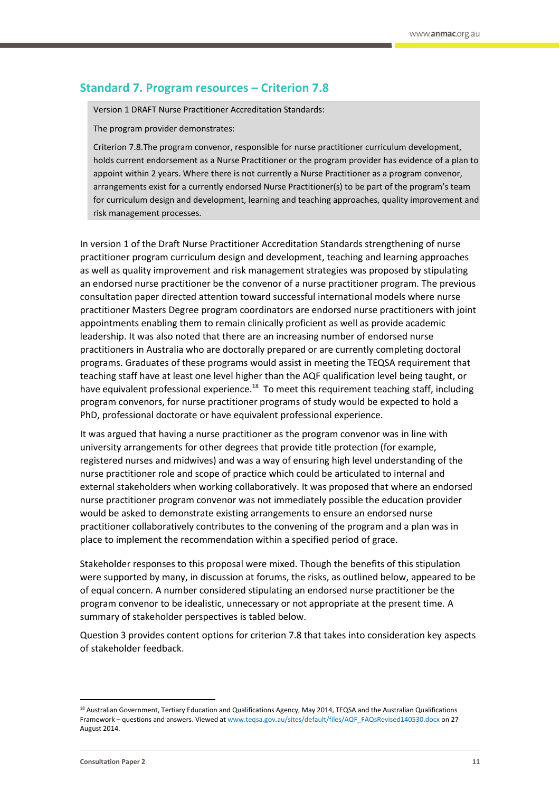## <span id="page-10-0"></span>**Standard 7. Program resources – Criterion 7.8**

Version 1 DRAFT Nurse Practitioner Accreditation Standards:

The program provider demonstrates:

Criterion 7.8.The program convenor, responsible for nurse practitioner curriculum development, holds current endorsement as a Nurse Practitioner or the program provider has evidence of a plan to appoint within 2 years. Where there is not currently a Nurse Practitioner as a program convenor, arrangements exist for a currently endorsed Nurse Practitioner(s) to be part of the program's team for curriculum design and development, learning and teaching approaches, quality improvement and risk management processes.

In version 1 of the Draft Nurse Practitioner Accreditation Standards strengthening of nurse practitioner program curriculum design and development, teaching and learning approaches as well as quality improvement and risk management strategies was proposed by stipulating an endorsed nurse practitioner be the convenor of a nurse practitioner program. The previous consultation paper directed attention toward successful international models where nurse practitioner Masters Degree program coordinators are endorsed nurse practitioners with joint appointments enabling them to remain clinically proficient as well as provide academic leadership. It was also noted that there are an increasing number of endorsed nurse practitioners in Australia who are doctorally prepared or are currently completing doctoral programs. Graduates of these programs would assist in meeting the TEQSA requirement that teaching staff have at least one level higher than the AQF qualification level being taught, or have equivalent professional experience.<sup>18</sup> To meet this requirement teaching staff, including program convenors, for nurse practitioner programs of study would be expected to hold a PhD, professional doctorate or have equivalent professional experience.

It was argued that having a nurse practitioner as the program convenor was in line with university arrangements for other degrees that provide title protection (for example, registered nurses and midwives) and was a way of ensuring high level understanding of the nurse practitioner role and scope of practice which could be articulated to internal and external stakeholders when working collaboratively. It was proposed that where an endorsed nurse practitioner program convenor was not immediately possible the education provider would be asked to demonstrate existing arrangements to ensure an endorsed nurse practitioner collaboratively contributes to the convening of the program and a plan was in place to implement the recommendation within a specified period of grace.

Stakeholder responses to this proposal were mixed. Though the benefits of this stipulation were supported by many, in discussion at forums, the risks, as outlined below, appeared to be of equal concern. A number considered stipulating an endorsed nurse practitioner be the program convenor to be idealistic, unnecessary or not appropriate at the present time. A summary of stakeholder perspectives is tabled below.

Question 3 provides content options for criterion 7.8 that takes into consideration key aspects of stakeholder feedback.

<sup>&</sup>lt;sup>18</sup> Australian Government, Tertiary Education and Qualifications Agency, May 2014, TEQSA and the Australian Qualifications Framework – questions and answers. Viewed a[t www.teqsa.gov.au/sites/default/files/AQF\\_FAQsRevised140530.docx](http://www.teqsa.gov.au/sites/default/files/AQF_FAQsRevised140530.docx) on 27 August 2014.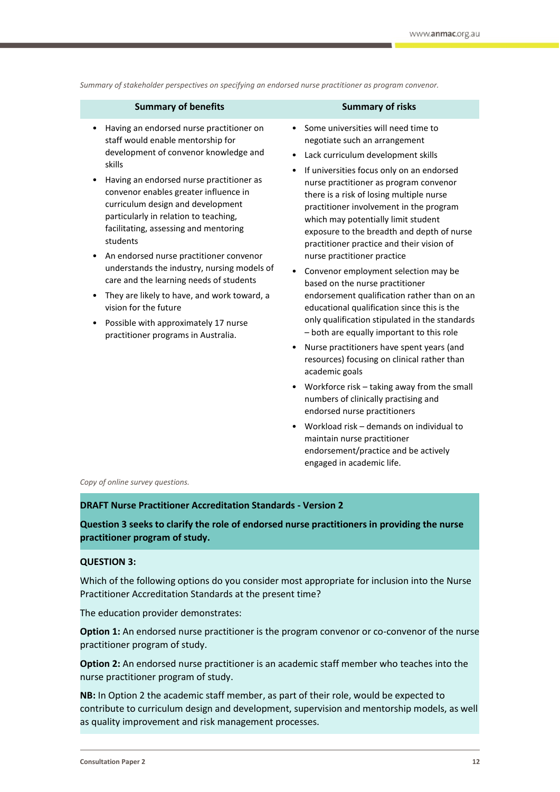*Summary of stakeholder perspectives on specifying an endorsed nurse practitioner as program convenor.*

| <b>Summary of benefits</b>                                                                                                                                                                                                                                                                                                                                                                                                                                                                                                                                                                                                                           | <b>Summary of risks</b>                                                                                                                                                                                                                                                                                                                                                                                                                                                                                                                                                                                                                                                                                                                                                                                                                                                                                                                                                                                                                                                                                                                                       |
|------------------------------------------------------------------------------------------------------------------------------------------------------------------------------------------------------------------------------------------------------------------------------------------------------------------------------------------------------------------------------------------------------------------------------------------------------------------------------------------------------------------------------------------------------------------------------------------------------------------------------------------------------|---------------------------------------------------------------------------------------------------------------------------------------------------------------------------------------------------------------------------------------------------------------------------------------------------------------------------------------------------------------------------------------------------------------------------------------------------------------------------------------------------------------------------------------------------------------------------------------------------------------------------------------------------------------------------------------------------------------------------------------------------------------------------------------------------------------------------------------------------------------------------------------------------------------------------------------------------------------------------------------------------------------------------------------------------------------------------------------------------------------------------------------------------------------|
| Having an endorsed nurse practitioner on<br>staff would enable mentorship for<br>development of convenor knowledge and<br>skills<br>Having an endorsed nurse practitioner as<br>convenor enables greater influence in<br>curriculum design and development<br>particularly in relation to teaching,<br>facilitating, assessing and mentoring<br>students<br>An endorsed nurse practitioner convenor<br>understands the industry, nursing models of<br>care and the learning needs of students<br>They are likely to have, and work toward, a<br>vision for the future<br>Possible with approximately 17 nurse<br>practitioner programs in Australia. | Some universities will need time to<br>negotiate such an arrangement<br>Lack curriculum development skills<br>$\bullet$<br>If universities focus only on an endorsed<br>$\bullet$<br>nurse practitioner as program convenor<br>there is a risk of losing multiple nurse<br>practitioner involvement in the program<br>which may potentially limit student<br>exposure to the breadth and depth of nurse<br>practitioner practice and their vision of<br>nurse practitioner practice<br>Convenor employment selection may be<br>based on the nurse practitioner<br>endorsement qualification rather than on an<br>educational qualification since this is the<br>only qualification stipulated in the standards<br>- both are equally important to this role<br>Nurse practitioners have spent years (and<br>$\bullet$<br>resources) focusing on clinical rather than<br>academic goals<br>Workforce risk - taking away from the small<br>numbers of clinically practising and<br>endorsed nurse practitioners<br>Workload risk – demands on individual to<br>maintain nurse practitioner<br>endorsement/practice and be actively<br>engaged in academic life. |

#### *Copy of online survey questions.*

#### **DRAFT Nurse Practitioner Accreditation Standards - Version 2**

**Question 3 seeks to clarify the role of endorsed nurse practitioners in providing the nurse practitioner program of study.**

#### **QUESTION 3:**

Which of the following options do you consider most appropriate for inclusion into the Nurse Practitioner Accreditation Standards at the present time?

The education provider demonstrates:

**Option 1:** An endorsed nurse practitioner is the program convenor or co-convenor of the nurse practitioner program of study.

**Option 2:** An endorsed nurse practitioner is an academic staff member who teaches into the nurse practitioner program of study.

**NB:** In Option 2 the academic staff member, as part of their role, would be expected to contribute to curriculum design and development, supervision and mentorship models, as well as quality improvement and risk management processes.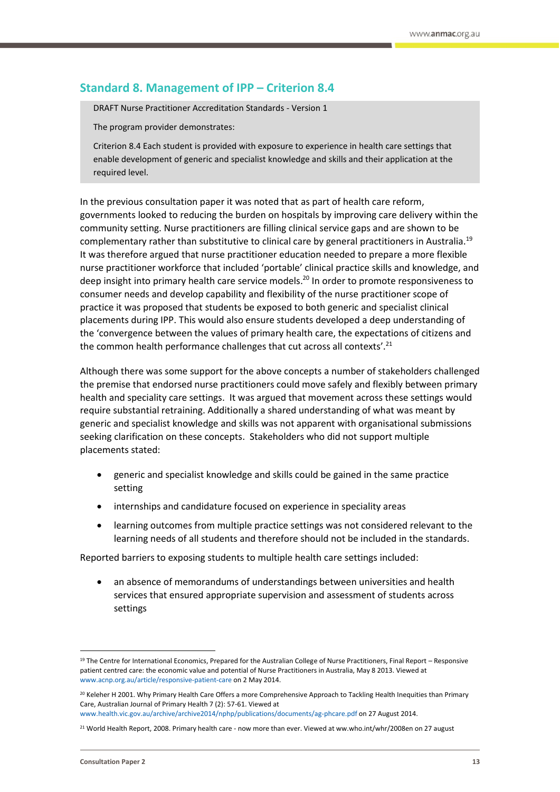## <span id="page-12-0"></span>**Standard 8. Management of IPP – Criterion 8.4**

DRAFT Nurse Practitioner Accreditation Standards - Version 1

The program provider demonstrates:

Criterion 8.4 Each student is provided with exposure to experience in health care settings that enable development of generic and specialist knowledge and skills and their application at the required level.

In the previous consultation paper it was noted that as part of health care reform, governments looked to reducing the burden on hospitals by improving care delivery within the community setting. Nurse practitioners are filling clinical service gaps and are shown to be complementary rather than substitutive to clinical care by general practitioners in Australia.<sup>19</sup> It was therefore argued that nurse practitioner education needed to prepare a more flexible nurse practitioner workforce that included 'portable' clinical practice skills and knowledge, and deep insight into primary health care service models.<sup>20</sup> In order to promote responsiveness to consumer needs and develop capability and flexibility of the nurse practitioner scope of practice it was proposed that students be exposed to both generic and specialist clinical placements during IPP. This would also ensure students developed a deep understanding of the 'convergence between the values of primary health care, the expectations of citizens and the common health performance challenges that cut across all contexts'.<sup>21</sup>

Although there was some support for the above concepts a number of stakeholders challenged the premise that endorsed nurse practitioners could move safely and flexibly between primary health and speciality care settings. It was argued that movement across these settings would require substantial retraining. Additionally a shared understanding of what was meant by generic and specialist knowledge and skills was not apparent with organisational submissions seeking clarification on these concepts. Stakeholders who did not support multiple placements stated:

- generic and specialist knowledge and skills could be gained in the same practice setting
- internships and candidature focused on experience in speciality areas
- learning outcomes from multiple practice settings was not considered relevant to the learning needs of all students and therefore should not be included in the standards.

Reported barriers to exposing students to multiple health care settings included:

 an absence of memorandums of understandings between universities and health services that ensured appropriate supervision and assessment of students across settings

1

<sup>&</sup>lt;sup>19</sup> The Centre for International Economics, Prepared for the Australian College of Nurse Practitioners, Final Report – Responsive patient centred care: the economic value and potential of Nurse Practitioners in Australia, May 8 2013. Viewed at [www.acnp.org.au/article/responsive-patient-care](http://www.acnp.org.au/article/responsive-patient-care) on 2 May 2014.

<sup>&</sup>lt;sup>20</sup> Keleher H 2001. Why Primary Health Care Offers a more Comprehensive Approach to Tackling Health Inequities than Primary Care, Australian Journal of Primary Health 7 (2): 57-61. Viewed at

[www.health.vic.gov.au/archive/archive2014/nphp/publications/documents/ag-phcare.pdf](http://www.health.vic.gov.au/archive/archive2014/nphp/publications/documents/ag-phcare.pdf) on 27 August 2014.

 $21$  World Health Report, 2008. Primary health care - now more than ever. Viewed at ww.who.int/whr/2008en on 27 august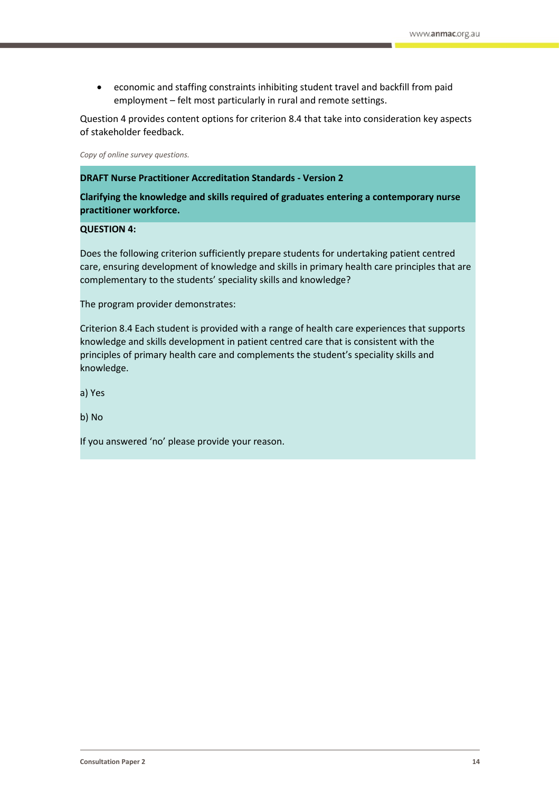economic and staffing constraints inhibiting student travel and backfill from paid employment – felt most particularly in rural and remote settings.

Question 4 provides content options for criterion 8.4 that take into consideration key aspects of stakeholder feedback.

*Copy of online survey questions.*

**DRAFT Nurse Practitioner Accreditation Standards - Version 2**

**Clarifying the knowledge and skills required of graduates entering a contemporary nurse practitioner workforce.**

#### **QUESTION 4:**

Does the following criterion sufficiently prepare students for undertaking patient centred care, ensuring development of knowledge and skills in primary health care principles that are complementary to the students' speciality skills and knowledge?

The program provider demonstrates:

Criterion 8.4 Each student is provided with a range of health care experiences that supports knowledge and skills development in patient centred care that is consistent with the principles of primary health care and complements the student's speciality skills and knowledge.

a) Yes

b) No

If you answered 'no' please provide your reason.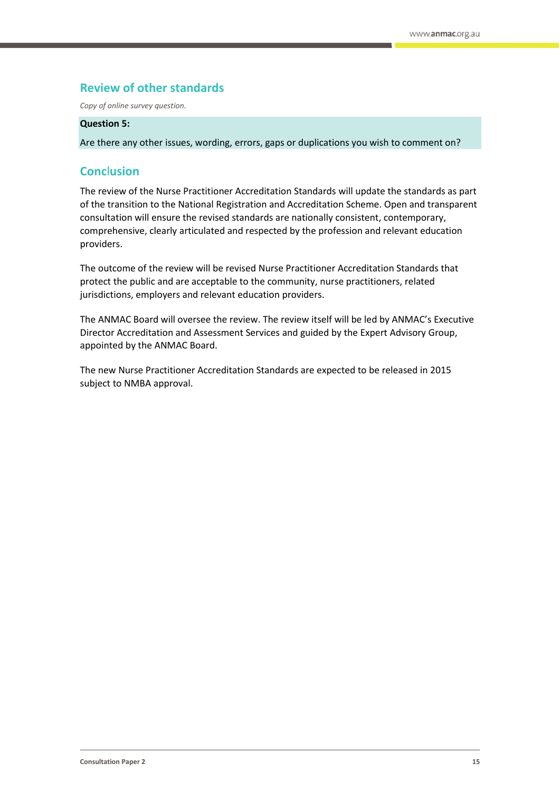## <span id="page-14-0"></span>**Review of other standards**

*Copy of online survey question.*

#### **Question 5:**

Are there any other issues, wording, errors, gaps or duplications you wish to comment on?

## <span id="page-14-1"></span>**Conc**l**usion**

The review of the Nurse Practitioner Accreditation Standards will update the standards as part of the transition to the National Registration and Accreditation Scheme. Open and transparent consultation will ensure the revised standards are nationally consistent, contemporary, comprehensive, clearly articulated and respected by the profession and relevant education providers.

The outcome of the review will be revised Nurse Practitioner Accreditation Standards that protect the public and are acceptable to the community, nurse practitioners, related jurisdictions, employers and relevant education providers.

The ANMAC Board will oversee the review. The review itself will be led by ANMAC's Executive Director Accreditation and Assessment Services and guided by the Expert Advisory Group, appointed by the ANMAC Board.

The new Nurse Practitioner Accreditation Standards are expected to be released in 2015 subject to NMBA approval.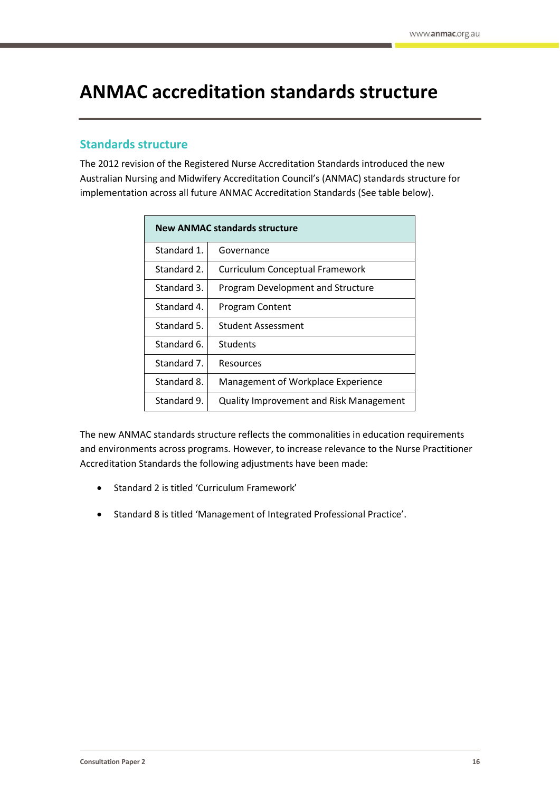# <span id="page-15-0"></span>**ANMAC accreditation standards structure**

## <span id="page-15-1"></span>**Standards structure**

The 2012 revision of the Registered Nurse Accreditation Standards introduced the new Australian Nursing and Midwifery Accreditation Council's (ANMAC) standards structure for implementation across all future ANMAC Accreditation Standards (See table below).

| <b>New ANMAC standards structure</b> |                                         |  |
|--------------------------------------|-----------------------------------------|--|
| Standard 1.                          | Governance                              |  |
| Standard 2.                          | Curriculum Conceptual Framework         |  |
| Standard 3.                          | Program Development and Structure       |  |
| Standard 4.                          | Program Content                         |  |
| Standard 5.                          | Student Assessment                      |  |
| Standard 6.                          | Students                                |  |
| Standard 7.                          | Resources                               |  |
| Standard 8.                          | Management of Workplace Experience      |  |
| Standard 9.                          | Quality Improvement and Risk Management |  |

The new ANMAC standards structure reflects the commonalities in education requirements and environments across programs. However, to increase relevance to the Nurse Practitioner Accreditation Standards the following adjustments have been made:

- Standard 2 is titled 'Curriculum Framework'
- Standard 8 is titled 'Management of Integrated Professional Practice'.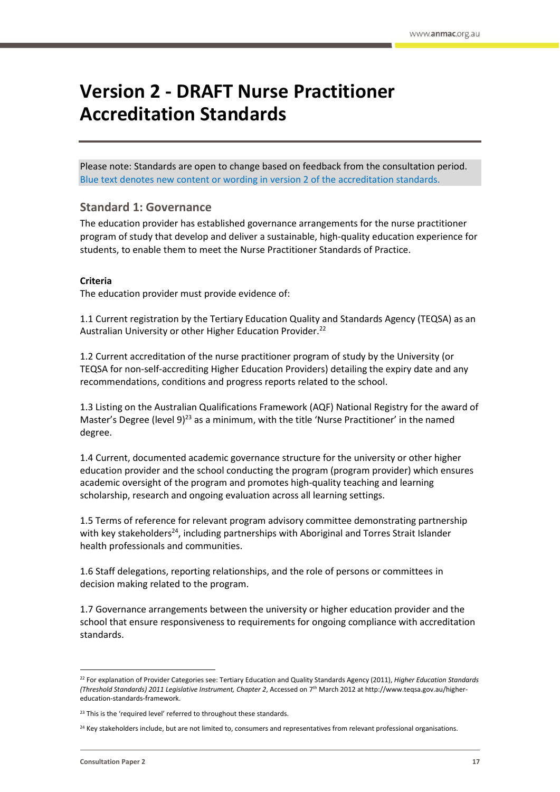# <span id="page-16-0"></span>**Version 2 - DRAFT Nurse Practitioner Accreditation Standards**

Please note: Standards are open to change based on feedback from the consultation period. Blue text denotes new content or wording in version 2 of the accreditation standards.

## **Standard 1: Governance**

The education provider has established governance arrangements for the nurse practitioner program of study that develop and deliver a sustainable, high-quality education experience for students, to enable them to meet the Nurse Practitioner Standards of Practice.

#### **Criteria**

The education provider must provide evidence of:

1.1 Current registration by the Tertiary Education Quality and Standards Agency (TEQSA) as an Australian University or other Higher Education Provider.<sup>22</sup>

1.2 Current accreditation of the nurse practitioner program of study by the University (or TEQSA for non-self-accrediting Higher Education Providers) detailing the expiry date and any recommendations, conditions and progress reports related to the school.

1.3 Listing on the Australian Qualifications Framework (AQF) National Registry for the award of Master's Degree (level 9)<sup>23</sup> as a minimum, with the title 'Nurse Practitioner' in the named degree.

1.4 Current, documented academic governance structure for the university or other higher education provider and the school conducting the program (program provider) which ensures academic oversight of the program and promotes high-quality teaching and learning scholarship, research and ongoing evaluation across all learning settings.

1.5 Terms of reference for relevant program advisory committee demonstrating partnership with key stakeholders<sup>24</sup>, including partnerships with Aboriginal and Torres Strait Islander health professionals and communities.

1.6 Staff delegations, reporting relationships, and the role of persons or committees in decision making related to the program.

1.7 Governance arrangements between the university or higher education provider and the school that ensure responsiveness to requirements for ongoing compliance with accreditation standards.

<sup>22</sup> For explanation of Provider Categories see: Tertiary Education and Quality Standards Agency (2011), *Higher Education Standards (Threshold Standards) 2011 Legislative Instrument, Chapter 2*, Accessed on 7th March 2012 at http://www.teqsa.gov.au/highereducation-standards-framework.

<sup>&</sup>lt;sup>23</sup> This is the 'required level' referred to throughout these standards.

<sup>&</sup>lt;sup>24</sup> Key stakeholders include, but are not limited to, consumers and representatives from relevant professional organisations.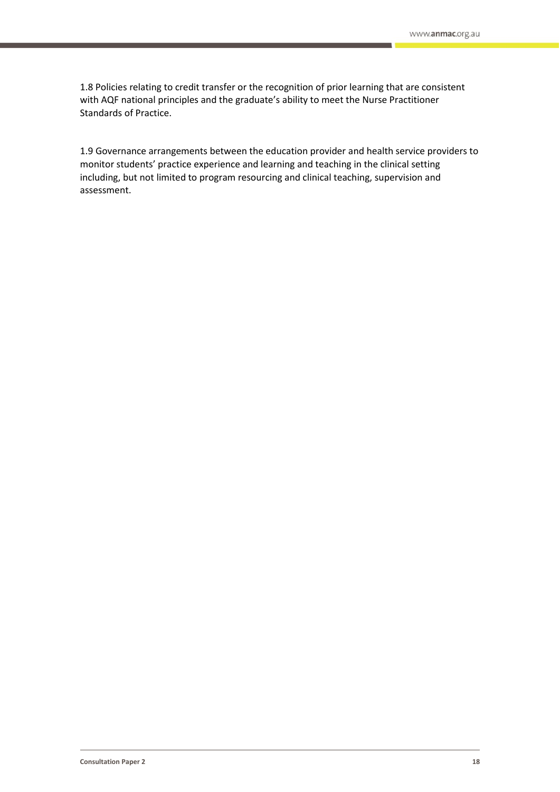1.8 Policies relating to credit transfer or the recognition of prior learning that are consistent with AQF national principles and the graduate's ability to meet the Nurse Practitioner Standards of Practice.

1.9 Governance arrangements between the education provider and health service providers to monitor students' practice experience and learning and teaching in the clinical setting including, but not limited to program resourcing and clinical teaching, supervision and assessment.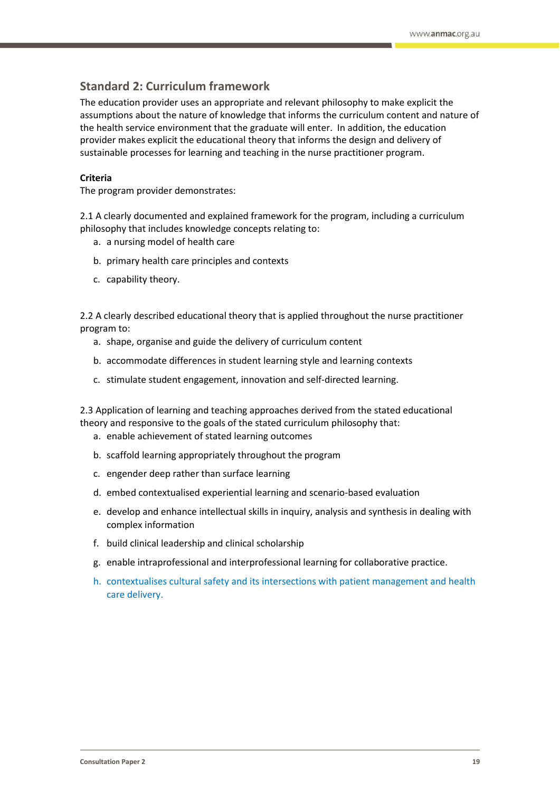## **Standard 2: Curriculum framework**

The education provider uses an appropriate and relevant philosophy to make explicit the assumptions about the nature of knowledge that informs the curriculum content and nature of the health service environment that the graduate will enter. In addition, the education provider makes explicit the educational theory that informs the design and delivery of sustainable processes for learning and teaching in the nurse practitioner program.

#### **Criteria**

The program provider demonstrates:

2.1 A clearly documented and explained framework for the program, including a curriculum philosophy that includes knowledge concepts relating to:

- a. a nursing model of health care
- b. primary health care principles and contexts
- c. capability theory.

2.2 A clearly described educational theory that is applied throughout the nurse practitioner program to:

- a. shape, organise and guide the delivery of curriculum content
- b. accommodate differences in student learning style and learning contexts
- c. stimulate student engagement, innovation and self-directed learning.

2.3 Application of learning and teaching approaches derived from the stated educational theory and responsive to the goals of the stated curriculum philosophy that:

- a. enable achievement of stated learning outcomes
- b. scaffold learning appropriately throughout the program
- c. engender deep rather than surface learning
- d. embed contextualised experiential learning and scenario-based evaluation
- e. develop and enhance intellectual skills in inquiry, analysis and synthesis in dealing with complex information
- f. build clinical leadership and clinical scholarship
- g. enable intraprofessional and interprofessional learning for collaborative practice.
- h. contextualises cultural safety and its intersections with patient management and health care delivery.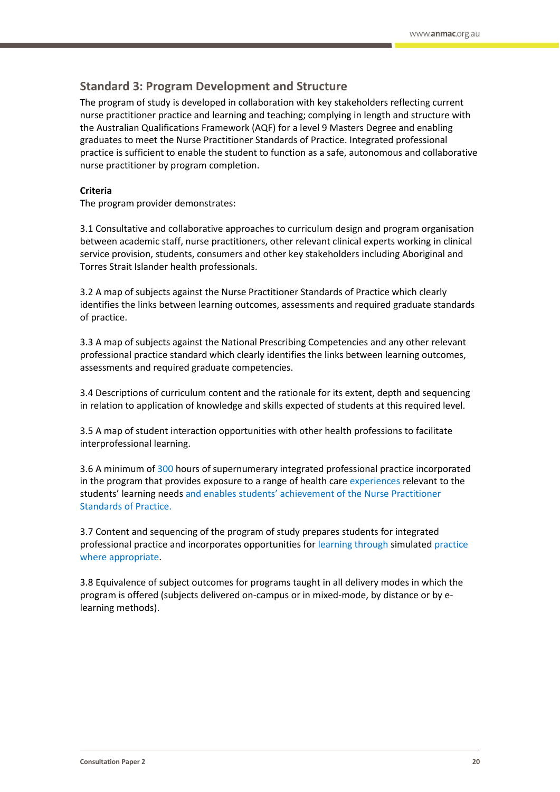## **Standard 3: Program Development and Structure**

The program of study is developed in collaboration with key stakeholders reflecting current nurse practitioner practice and learning and teaching; complying in length and structure with the Australian Qualifications Framework (AQF) for a level 9 Masters Degree and enabling graduates to meet the Nurse Practitioner Standards of Practice. Integrated professional practice is sufficient to enable the student to function as a safe, autonomous and collaborative nurse practitioner by program completion.

#### **Criteria**

The program provider demonstrates:

3.1 Consultative and collaborative approaches to curriculum design and program organisation between academic staff, nurse practitioners, other relevant clinical experts working in clinical service provision, students, consumers and other key stakeholders including Aboriginal and Torres Strait Islander health professionals.

3.2 A map of subjects against the Nurse Practitioner Standards of Practice which clearly identifies the links between learning outcomes, assessments and required graduate standards of practice.

3.3 A map of subjects against the National Prescribing Competencies and any other relevant professional practice standard which clearly identifies the links between learning outcomes, assessments and required graduate competencies.

3.4 Descriptions of curriculum content and the rationale for its extent, depth and sequencing in relation to application of knowledge and skills expected of students at this required level.

3.5 A map of student interaction opportunities with other health professions to facilitate interprofessional learning.

3.6 A minimum of 300 hours of supernumerary integrated professional practice incorporated in the program that provides exposure to a range of health care experiences relevant to the students' learning needs and enables students' achievement of the Nurse Practitioner Standards of Practice.

3.7 Content and sequencing of the program of study prepares students for integrated professional practice and incorporates opportunities for learning through simulated practice where appropriate.

3.8 Equivalence of subject outcomes for programs taught in all delivery modes in which the program is offered (subjects delivered on-campus or in mixed-mode, by distance or by elearning methods).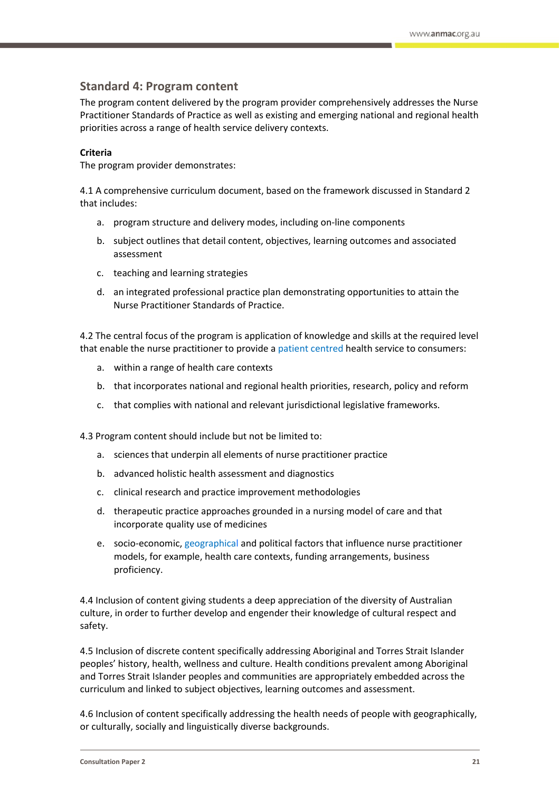## **Standard 4: Program content**

The program content delivered by the program provider comprehensively addresses the Nurse Practitioner Standards of Practice as well as existing and emerging national and regional health priorities across a range of health service delivery contexts.

#### **Criteria**

The program provider demonstrates:

4.1 A comprehensive curriculum document, based on the framework discussed in Standard 2 that includes:

- a. program structure and delivery modes, including on-line components
- b. subject outlines that detail content, objectives, learning outcomes and associated assessment
- c. teaching and learning strategies
- d. an integrated professional practice plan demonstrating opportunities to attain the Nurse Practitioner Standards of Practice.

4.2 The central focus of the program is application of knowledge and skills at the required level that enable the nurse practitioner to provide a patient centred health service to consumers:

- a. within a range of health care contexts
- b. that incorporates national and regional health priorities, research, policy and reform
- c. that complies with national and relevant jurisdictional legislative frameworks.

4.3 Program content should include but not be limited to:

- a. sciences that underpin all elements of nurse practitioner practice
- b. advanced holistic health assessment and diagnostics
- c. clinical research and practice improvement methodologies
- d. therapeutic practice approaches grounded in a nursing model of care and that incorporate quality use of medicines
- e. socio-economic, geographical and political factors that influence nurse practitioner models, for example, health care contexts, funding arrangements, business proficiency.

4.4 Inclusion of content giving students a deep appreciation of the diversity of Australian culture, in order to further develop and engender their knowledge of cultural respect and safety.

4.5 Inclusion of discrete content specifically addressing Aboriginal and Torres Strait Islander peoples' history, health, wellness and culture. Health conditions prevalent among Aboriginal and Torres Strait Islander peoples and communities are appropriately embedded across the curriculum and linked to subject objectives, learning outcomes and assessment.

4.6 Inclusion of content specifically addressing the health needs of people with geographically, or culturally, socially and linguistically diverse backgrounds.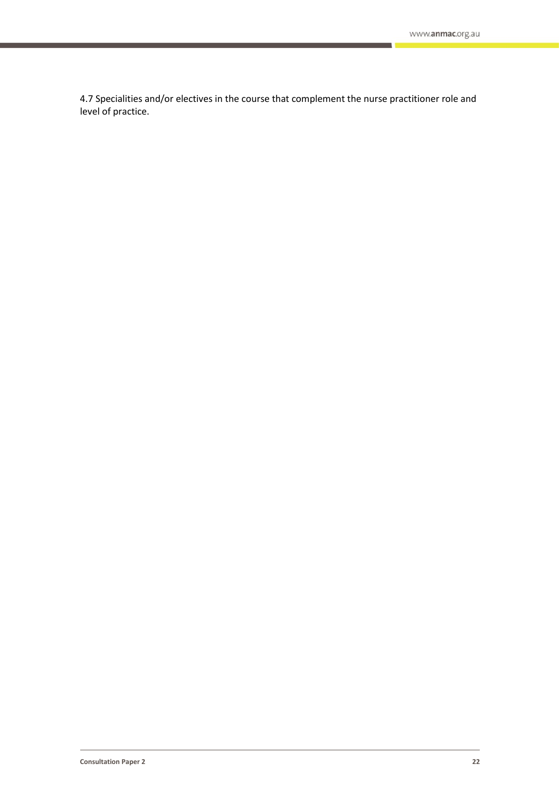4.7 Specialities and/or electives in the course that complement the nurse practitioner role and level of practice.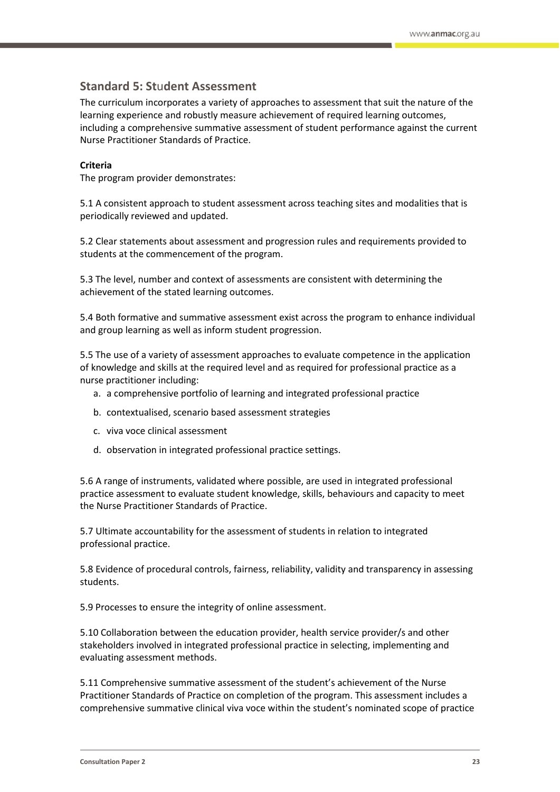## **Standard 5: St**u**dent Assessment**

The curriculum incorporates a variety of approaches to assessment that suit the nature of the learning experience and robustly measure achievement of required learning outcomes, including a comprehensive summative assessment of student performance against the current Nurse Practitioner Standards of Practice.

#### **Criteria**

The program provider demonstrates:

5.1 A consistent approach to student assessment across teaching sites and modalities that is periodically reviewed and updated.

5.2 Clear statements about assessment and progression rules and requirements provided to students at the commencement of the program.

5.3 The level, number and context of assessments are consistent with determining the achievement of the stated learning outcomes.

5.4 Both formative and summative assessment exist across the program to enhance individual and group learning as well as inform student progression.

5.5 The use of a variety of assessment approaches to evaluate competence in the application of knowledge and skills at the required level and as required for professional practice as a nurse practitioner including:

- a. a comprehensive portfolio of learning and integrated professional practice
- b. contextualised, scenario based assessment strategies
- c. viva voce clinical assessment
- d. observation in integrated professional practice settings.

5.6 A range of instruments, validated where possible, are used in integrated professional practice assessment to evaluate student knowledge, skills, behaviours and capacity to meet the Nurse Practitioner Standards of Practice.

5.7 Ultimate accountability for the assessment of students in relation to integrated professional practice.

5.8 Evidence of procedural controls, fairness, reliability, validity and transparency in assessing students.

5.9 Processes to ensure the integrity of online assessment.

5.10 Collaboration between the education provider, health service provider/s and other stakeholders involved in integrated professional practice in selecting, implementing and evaluating assessment methods.

5.11 Comprehensive summative assessment of the student's achievement of the Nurse Practitioner Standards of Practice on completion of the program. This assessment includes a comprehensive summative clinical viva voce within the student's nominated scope of practice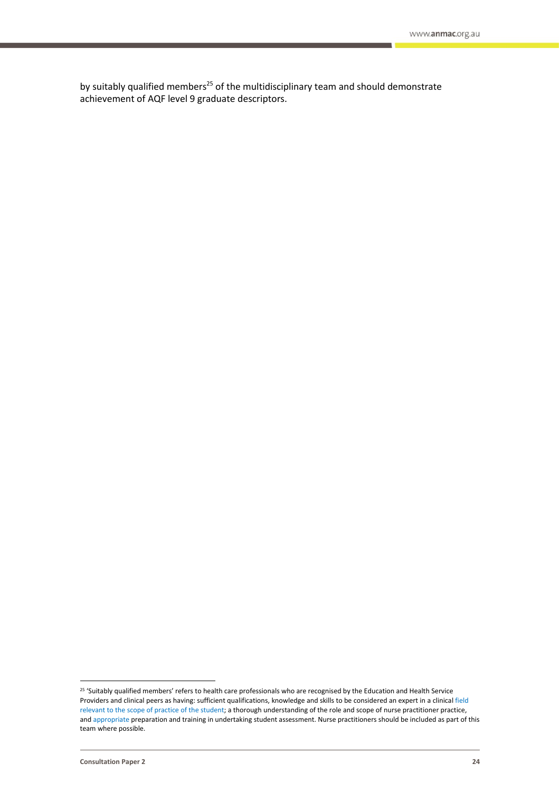by suitably qualified members<sup>25</sup> of the multidisciplinary team and should demonstrate achievement of AQF level 9 graduate descriptors.

<sup>&</sup>lt;sup>25</sup> 'Suitably qualified members' refers to health care professionals who are recognised by the Education and Health Service Providers and clinical peers as having: sufficient qualifications, knowledge and skills to be considered an expert in a clinical field relevant to the scope of practice of the student; a thorough understanding of the role and scope of nurse practitioner practice, and appropriate preparation and training in undertaking student assessment. Nurse practitioners should be included as part of this team where possible.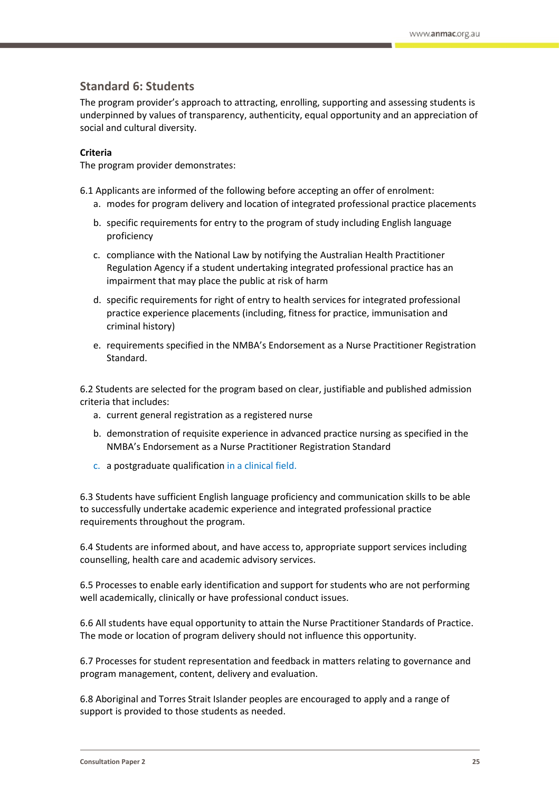## **Standard 6: Students**

The program provider's approach to attracting, enrolling, supporting and assessing students is underpinned by values of transparency, authenticity, equal opportunity and an appreciation of social and cultural diversity.

#### **Criteria**

The program provider demonstrates:

- 6.1 Applicants are informed of the following before accepting an offer of enrolment:
	- a. modes for program delivery and location of integrated professional practice placements
	- b. specific requirements for entry to the program of study including English language proficiency
	- c. compliance with the National Law by notifying the Australian Health Practitioner Regulation Agency if a student undertaking integrated professional practice has an impairment that may place the public at risk of harm
	- d. specific requirements for right of entry to health services for integrated professional practice experience placements (including, fitness for practice, immunisation and criminal history)
	- e. requirements specified in the NMBA's Endorsement as a Nurse Practitioner Registration Standard.

6.2 Students are selected for the program based on clear, justifiable and published admission criteria that includes:

- a. current general registration as a registered nurse
- b. demonstration of requisite experience in advanced practice nursing as specified in the NMBA's Endorsement as a Nurse Practitioner Registration Standard
- c. a postgraduate qualification in a clinical field.

6.3 Students have sufficient English language proficiency and communication skills to be able to successfully undertake academic experience and integrated professional practice requirements throughout the program.

6.4 Students are informed about, and have access to, appropriate support services including counselling, health care and academic advisory services.

6.5 Processes to enable early identification and support for students who are not performing well academically, clinically or have professional conduct issues.

6.6 All students have equal opportunity to attain the Nurse Practitioner Standards of Practice. The mode or location of program delivery should not influence this opportunity.

6.7 Processes for student representation and feedback in matters relating to governance and program management, content, delivery and evaluation.

6.8 Aboriginal and Torres Strait Islander peoples are encouraged to apply and a range of support is provided to those students as needed.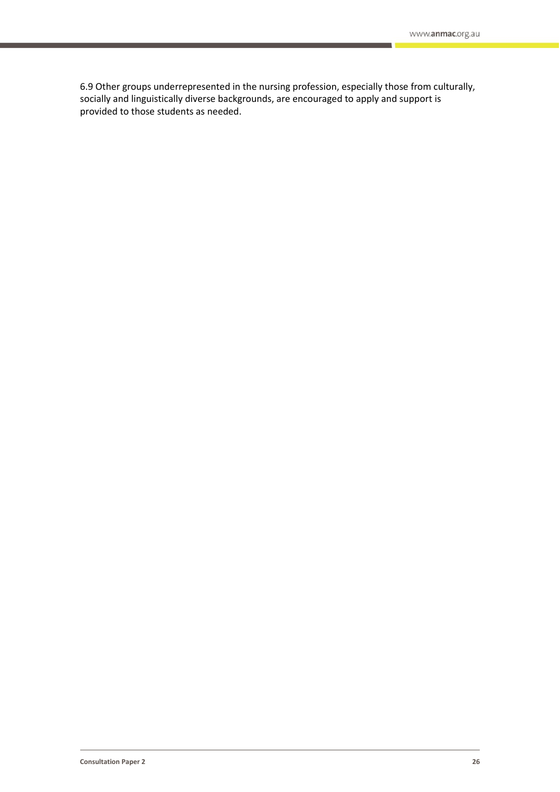6.9 Other groups underrepresented in the nursing profession, especially those from culturally, socially and linguistically diverse backgrounds, are encouraged to apply and support is provided to those students as needed.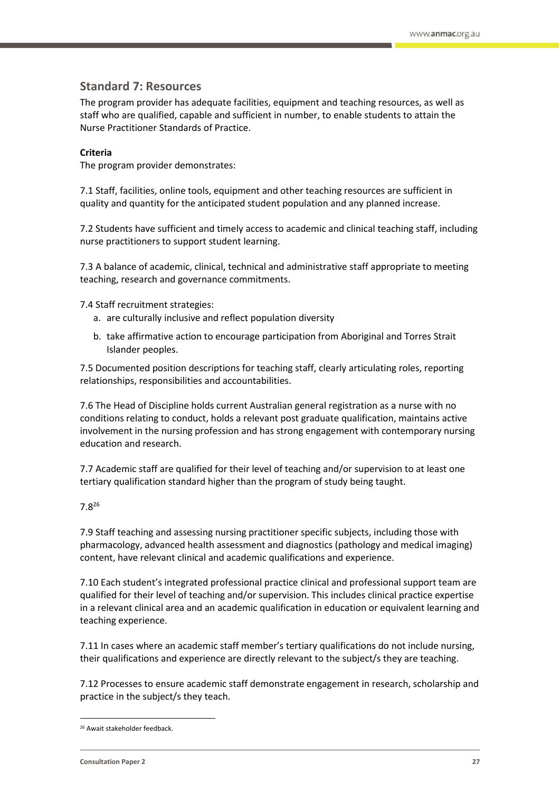## **Standard 7: Resources**

The program provider has adequate facilities, equipment and teaching resources, as well as staff who are qualified, capable and sufficient in number, to enable students to attain the Nurse Practitioner Standards of Practice.

#### **Criteria**

The program provider demonstrates:

7.1 Staff, facilities, online tools, equipment and other teaching resources are sufficient in quality and quantity for the anticipated student population and any planned increase.

7.2 Students have sufficient and timely access to academic and clinical teaching staff, including nurse practitioners to support student learning.

7.3 A balance of academic, clinical, technical and administrative staff appropriate to meeting teaching, research and governance commitments.

7.4 Staff recruitment strategies:

- a. are culturally inclusive and reflect population diversity
- b. take affirmative action to encourage participation from Aboriginal and Torres Strait Islander peoples.

7.5 Documented position descriptions for teaching staff, clearly articulating roles, reporting relationships, responsibilities and accountabilities.

7.6 The Head of Discipline holds current Australian general registration as a nurse with no conditions relating to conduct, holds a relevant post graduate qualification, maintains active involvement in the nursing profession and has strong engagement with contemporary nursing education and research.

7.7 Academic staff are qualified for their level of teaching and/or supervision to at least one tertiary qualification standard higher than the program of study being taught.

#### 7.8<sup>26</sup>

7.9 Staff teaching and assessing nursing practitioner specific subjects, including those with pharmacology, advanced health assessment and diagnostics (pathology and medical imaging) content, have relevant clinical and academic qualifications and experience.

7.10 Each student's integrated professional practice clinical and professional support team are qualified for their level of teaching and/or supervision. This includes clinical practice expertise in a relevant clinical area and an academic qualification in education or equivalent learning and teaching experience.

7.11 In cases where an academic staff member's tertiary qualifications do not include nursing, their qualifications and experience are directly relevant to the subject/s they are teaching.

7.12 Processes to ensure academic staff demonstrate engagement in research, scholarship and practice in the subject/s they teach.

 $\overline{a}$ 

<sup>26</sup> Await stakeholder feedback.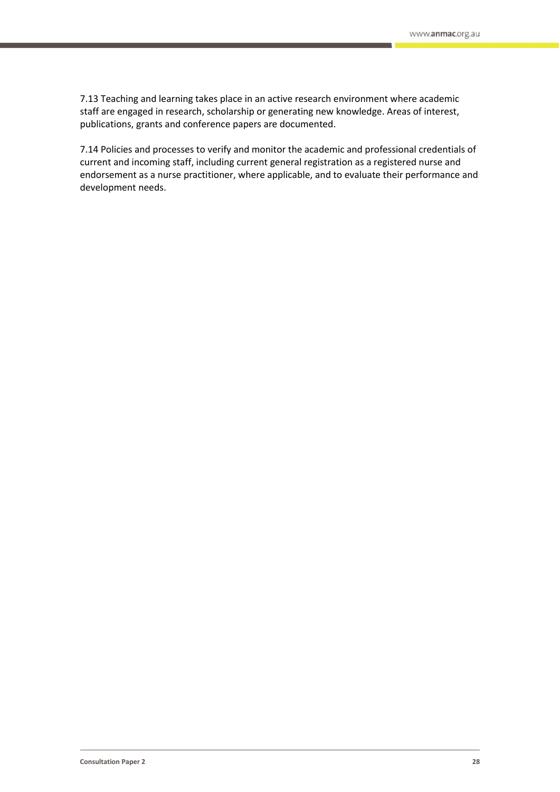7.13 Teaching and learning takes place in an active research environment where academic staff are engaged in research, scholarship or generating new knowledge. Areas of interest, publications, grants and conference papers are documented.

7.14 Policies and processes to verify and monitor the academic and professional credentials of current and incoming staff, including current general registration as a registered nurse and endorsement as a nurse practitioner, where applicable, and to evaluate their performance and development needs.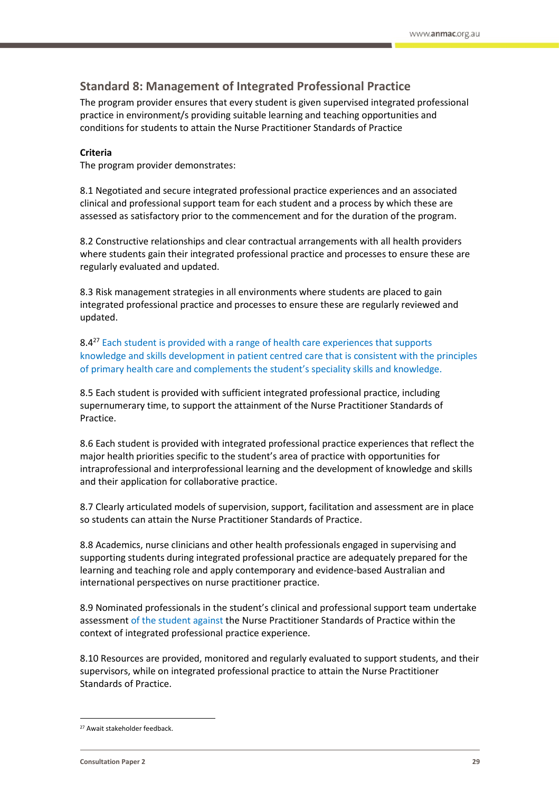## **Standard 8: Management of Integrated Professional Practice**

The program provider ensures that every student is given supervised integrated professional practice in environment/s providing suitable learning and teaching opportunities and conditions for students to attain the Nurse Practitioner Standards of Practice

#### **Criteria**

The program provider demonstrates:

8.1 Negotiated and secure integrated professional practice experiences and an associated clinical and professional support team for each student and a process by which these are assessed as satisfactory prior to the commencement and for the duration of the program.

8.2 Constructive relationships and clear contractual arrangements with all health providers where students gain their integrated professional practice and processes to ensure these are regularly evaluated and updated.

8.3 Risk management strategies in all environments where students are placed to gain integrated professional practice and processes to ensure these are regularly reviewed and updated.

8.4<sup>27</sup> Each student is provided with a range of health care experiences that supports knowledge and skills development in patient centred care that is consistent with the principles of primary health care and complements the student's speciality skills and knowledge.

8.5 Each student is provided with sufficient integrated professional practice, including supernumerary time, to support the attainment of the Nurse Practitioner Standards of Practice.

8.6 Each student is provided with integrated professional practice experiences that reflect the major health priorities specific to the student's area of practice with opportunities for intraprofessional and interprofessional learning and the development of knowledge and skills and their application for collaborative practice.

8.7 Clearly articulated models of supervision, support, facilitation and assessment are in place so students can attain the Nurse Practitioner Standards of Practice.

8.8 Academics, nurse clinicians and other health professionals engaged in supervising and supporting students during integrated professional practice are adequately prepared for the learning and teaching role and apply contemporary and evidence-based Australian and international perspectives on nurse practitioner practice.

8.9 Nominated professionals in the student's clinical and professional support team undertake assessment of the student against the Nurse Practitioner Standards of Practice within the context of integrated professional practice experience.

8.10 Resources are provided, monitored and regularly evaluated to support students, and their supervisors, while on integrated professional practice to attain the Nurse Practitioner Standards of Practice.

 $\overline{a}$ 

<sup>&</sup>lt;sup>27</sup> Await stakeholder feedback.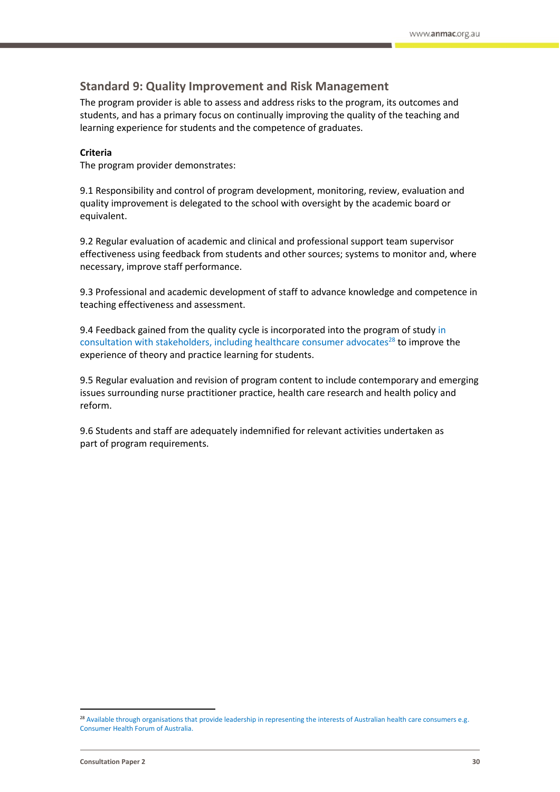## **Standard 9: Quality Improvement and Risk Management**

The program provider is able to assess and address risks to the program, its outcomes and students, and has a primary focus on continually improving the quality of the teaching and learning experience for students and the competence of graduates.

#### **Criteria**

The program provider demonstrates:

9.1 Responsibility and control of program development, monitoring, review, evaluation and quality improvement is delegated to the school with oversight by the academic board or equivalent.

9.2 Regular evaluation of academic and clinical and professional support team supervisor effectiveness using feedback from students and other sources; systems to monitor and, where necessary, improve staff performance.

9.3 Professional and academic development of staff to advance knowledge and competence in teaching effectiveness and assessment.

9.4 Feedback gained from the quality cycle is incorporated into the program of study in consultation with stakeholders, including healthcare consumer advocates $^{28}$  to improve the experience of theory and practice learning for students.

9.5 Regular evaluation and revision of program content to include contemporary and emerging issues surrounding nurse practitioner practice, health care research and health policy and reform.

9.6 Students and staff are adequately indemnified for relevant activities undertaken as part of program requirements.

<sup>&</sup>lt;sup>28</sup> Available through organisations that provide leadership in representing the interests of Australian health care consumers e.g. Consumer Health Forum of Australia.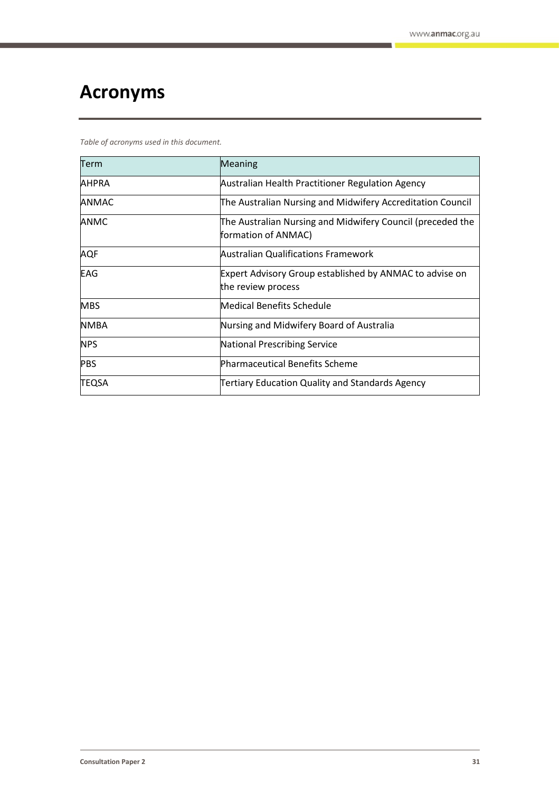# <span id="page-30-0"></span>**Acronyms**

*Table of acronyms used in this document.*

| Term         | <b>Meaning</b>                                                                    |
|--------------|-----------------------------------------------------------------------------------|
| <b>AHPRA</b> | Australian Health Practitioner Regulation Agency                                  |
| <b>ANMAC</b> | The Australian Nursing and Midwifery Accreditation Council                        |
| <b>ANMC</b>  | The Australian Nursing and Midwifery Council (preceded the<br>formation of ANMAC) |
| <b>AQF</b>   | <b>Australian Qualifications Framework</b>                                        |
| EAG          | Expert Advisory Group established by ANMAC to advise on<br>the review process     |
| <b>MBS</b>   | <b>Medical Benefits Schedule</b>                                                  |
| <b>NMBA</b>  | Nursing and Midwifery Board of Australia                                          |
| <b>NPS</b>   | <b>National Prescribing Service</b>                                               |
| <b>PBS</b>   | <b>Pharmaceutical Benefits Scheme</b>                                             |
| <b>TEQSA</b> | Tertiary Education Quality and Standards Agency                                   |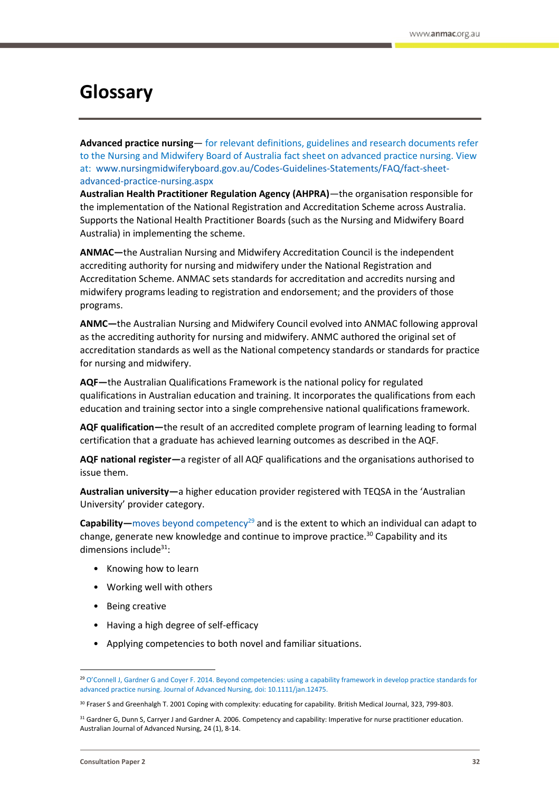## <span id="page-31-0"></span>**Glossary**

**Advanced practice nursing**— for relevant definitions, guidelines and research documents refer to the Nursing and Midwifery Board of Australia fact sheet on advanced practice nursing. View at: www.nursingmidwiferyboard.gov.au/Codes-Guidelines-Statements/FAQ/fact-sheetadvanced-practice-nursing.aspx

**Australian Health Practitioner Regulation Agency (AHPRA)**—the organisation responsible for the implementation of the National Registration and Accreditation Scheme across Australia. Supports the National Health Practitioner Boards (such as the Nursing and Midwifery Board Australia) in implementing the scheme.

**ANMAC—**the Australian Nursing and Midwifery Accreditation Council is the independent accrediting authority for nursing and midwifery under the National Registration and Accreditation Scheme. ANMAC sets standards for accreditation and accredits nursing and midwifery programs leading to registration and endorsement; and the providers of those programs.

**ANMC—**the Australian Nursing and Midwifery Council evolved into ANMAC following approval as the accrediting authority for nursing and midwifery. ANMC authored the original set of accreditation standards as well as the National competency standards or standards for practice for nursing and midwifery.

**AQF—**the Australian Qualifications Framework is the national policy for regulated qualifications in Australian education and training. It incorporates the qualifications from each education and training sector into a single comprehensive national qualifications framework.

**AQF qualification—**the result of an accredited complete program of learning leading to formal certification that a graduate has achieved learning outcomes as described in the AQF.

**AQF national register—**a register of all AQF qualifications and the organisations authorised to issue them.

**Australian university—**a higher education provider registered with TEQSA in the 'Australian University' provider category.

**Capability**—moves beyond competency<sup>29</sup> and is the extent to which an individual can adapt to change, generate new knowledge and continue to improve practice.<sup>30</sup> Capability and its dimensions include $31$ :

- Knowing how to learn
- Working well with others
- Being creative
- Having a high degree of self-efficacy
- Applying competencies to both novel and familiar situations.

<sup>29</sup> O'Connell J, Gardner G and Coyer F. 2014. Beyond competencies: using a capability framework in develop practice standards for advanced practice nursing. Journal of Advanced Nursing, doi: 10.1111/jan.12475.

<sup>30</sup> Fraser S and Greenhalgh T. 2001 Coping with complexity: educating for capability. British Medical Journal, 323, 799-803.

<sup>31</sup> Gardner G, Dunn S, Carryer J and Gardner A. 2006. Competency and capability: Imperative for nurse practitioner education. Australian Journal of Advanced Nursing, 24 (1), 8-14.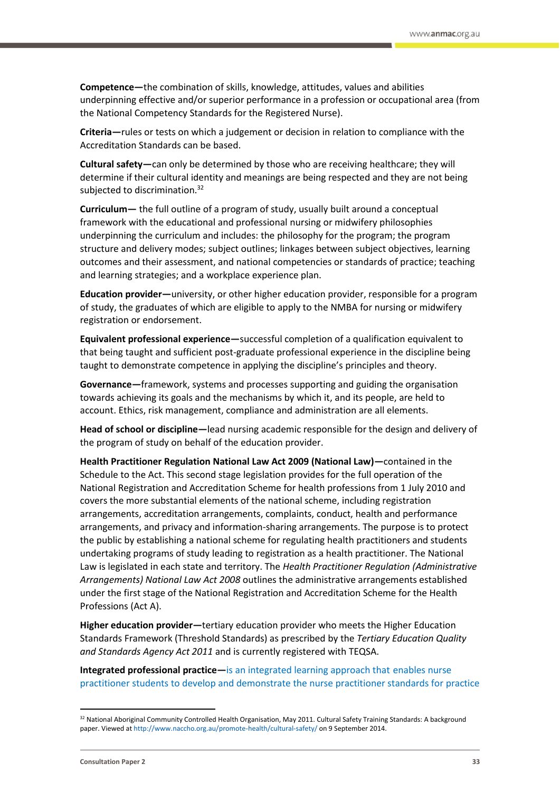**Competence—**the combination of skills, knowledge, attitudes, values and abilities underpinning effective and/or superior performance in a profession or occupational area (from the National Competency Standards for the Registered Nurse).

**Criteria—**rules or tests on which a judgement or decision in relation to compliance with the Accreditation Standards can be based.

**Cultural safety—**can only be determined by those who are receiving healthcare; they will determine if their cultural identity and meanings are being respected and they are not being subjected to discrimination.<sup>32</sup>

**Curriculum—** the full outline of a program of study, usually built around a conceptual framework with the educational and professional nursing or midwifery philosophies underpinning the curriculum and includes: the philosophy for the program; the program structure and delivery modes; subject outlines; linkages between subject objectives, learning outcomes and their assessment, and national competencies or standards of practice; teaching and learning strategies; and a workplace experience plan.

**Education provider—**university, or other higher education provider, responsible for a program of study, the graduates of which are eligible to apply to the NMBA for nursing or midwifery registration or endorsement.

**Equivalent professional experience—**successful completion of a qualification equivalent to that being taught and sufficient post-graduate professional experience in the discipline being taught to demonstrate competence in applying the discipline's principles and theory.

**Governance—**framework, systems and processes supporting and guiding the organisation towards achieving its goals and the mechanisms by which it, and its people, are held to account. Ethics, risk management, compliance and administration are all elements.

**Head of school or discipline—**lead nursing academic responsible for the design and delivery of the program of study on behalf of the education provider.

**Health Practitioner Regulation National Law Act 2009 (National Law)—**contained in the Schedule to the Act. This second stage legislation provides for the full operation of the National Registration and Accreditation Scheme for health professions from 1 July 2010 and covers the more substantial elements of the national scheme, including registration arrangements, accreditation arrangements, complaints, conduct, health and performance arrangements, and privacy and information-sharing arrangements. The purpose is to protect the public by establishing a national scheme for regulating health practitioners and students undertaking programs of study leading to registration as a health practitioner. The National Law is legislated in each state and territory. The *Health Practitioner Regulation (Administrative Arrangements) National Law Act 2008* outlines the administrative arrangements established under the first stage of the National Registration and Accreditation Scheme for the Health Professions (Act A).

**Higher education provider—**tertiary education provider who meets the Higher Education Standards Framework (Threshold Standards) as prescribed by the *Tertiary Education Quality and Standards Agency Act 2011* and is currently registered with TEQSA.

**Integrated professional practice—**is an integrated learning approach that enables nurse practitioner students to develop and demonstrate the nurse practitioner standards for practice

<sup>32</sup> National Aboriginal Community Controlled Health Organisation, May 2011. Cultural Safety Training Standards: A background paper. Viewed a[t http://www.naccho.org.au/promote-health/cultural-safety/](http://www.naccho.org.au/promote-health/cultural-safety/) on 9 September 2014.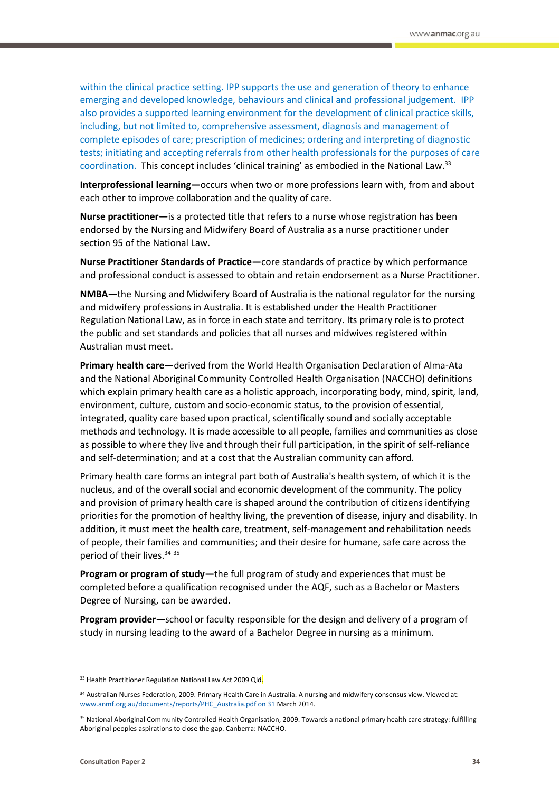within the clinical practice setting. IPP supports the use and generation of theory to enhance emerging and developed knowledge, behaviours and clinical and professional judgement. IPP also provides a supported learning environment for the development of clinical practice skills, including, but not limited to, comprehensive assessment, diagnosis and management of complete episodes of care; prescription of medicines; ordering and interpreting of diagnostic tests; initiating and accepting referrals from other health professionals for the purposes of care coordination. This concept includes 'clinical training' as embodied in the National Law.<sup>33</sup>

**Interprofessional learning—**occurs when two or more professions learn with, from and about each other to improve collaboration and the quality of care.

**Nurse practitioner—**is a protected title that refers to a nurse whose registration has been endorsed by the Nursing and Midwifery Board of Australia as a nurse practitioner under section 95 of the National Law.

**Nurse Practitioner Standards of Practice—**core standards of practice by which performance and professional conduct is assessed to obtain and retain endorsement as a Nurse Practitioner.

**NMBA—**the Nursing and Midwifery Board of Australia is the national regulator for the nursing and midwifery professions in Australia. It is established under the Health Practitioner Regulation National Law, as in force in each state and territory. Its primary role is to protect the public and set standards and policies that all nurses and midwives registered within Australian must meet.

**Primary health care—**derived from the World Health Organisation Declaration of Alma-Ata and the National Aboriginal Community Controlled Health Organisation (NACCHO) definitions which explain primary health care as a holistic approach, incorporating body, mind, spirit, land, environment, culture, custom and socio-economic status, to the provision of essential, integrated, quality care based upon practical, scientifically sound and socially acceptable methods and technology. It is made accessible to all people, families and communities as close as possible to where they live and through their full participation, in the spirit of self-reliance and self-determination; and at a cost that the Australian community can afford.

Primary health care forms an integral part both of Australia's health system, of which it is the nucleus, and of the overall social and economic development of the community. The policy and provision of primary health care is shaped around the contribution of citizens identifying priorities for the promotion of healthy living, the prevention of disease, injury and disability. In addition, it must meet the health care, treatment, self-management and rehabilitation needs of people, their families and communities; and their desire for humane, safe care across the period of their lives.<sup>34 35</sup>

**Program or program of study—**the full program of study and experiences that must be completed before a qualification recognised under the AQF, such as a Bachelor or Masters Degree of Nursing, can be awarded.

**Program provider—**school or faculty responsible for the design and delivery of a program of study in nursing leading to the award of a Bachelor Degree in nursing as a minimum.

<sup>&</sup>lt;sup>33</sup> Health Practitioner Regulation National Law Act 2009 Qld.

<sup>34</sup> Australian Nurses Federation, 2009. Primary Health Care in Australia. A nursing and midwifery consensus view. Viewed at: www.anmf.org.au/documents/reports/PHC\_Australia.pdf on 31 March 2014.

<sup>&</sup>lt;sup>35</sup> National Aboriginal Community Controlled Health Organisation, 2009. Towards a national primary health care strategy: fulfilling Aboriginal peoples aspirations to close the gap. Canberra: NACCHO.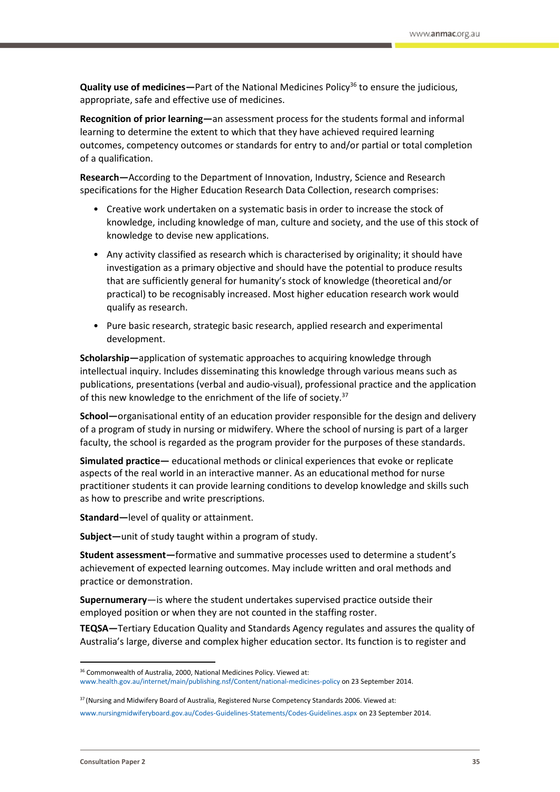**Quality use of medicines**—Part of the National Medicines Policy<sup>36</sup> to ensure the judicious, appropriate, safe and effective use of medicines.

**Recognition of prior learning—**an assessment process for the students formal and informal learning to determine the extent to which that they have achieved required learning outcomes, competency outcomes or standards for entry to and/or partial or total completion of a qualification.

**Research—**According to the Department of Innovation, Industry, Science and Research specifications for the Higher Education Research Data Collection, research comprises:

- Creative work undertaken on a systematic basis in order to increase the stock of knowledge, including knowledge of man, culture and society, and the use of this stock of knowledge to devise new applications.
- Any activity classified as research which is characterised by originality; it should have investigation as a primary objective and should have the potential to produce results that are sufficiently general for humanity's stock of knowledge (theoretical and/or practical) to be recognisably increased. Most higher education research work would qualify as research.
- Pure basic research, strategic basic research, applied research and experimental development.

**Scholarship—**application of systematic approaches to acquiring knowledge through intellectual inquiry. Includes disseminating this knowledge through various means such as publications, presentations (verbal and audio-visual), professional practice and the application of this new knowledge to the enrichment of the life of society.<sup>37</sup>

**School—**organisational entity of an education provider responsible for the design and delivery of a program of study in nursing or midwifery. Where the school of nursing is part of a larger faculty, the school is regarded as the program provider for the purposes of these standards.

**Simulated practice—** educational methods or clinical experiences that evoke or replicate aspects of the real world in an interactive manner. As an educational method for nurse practitioner students it can provide learning conditions to develop knowledge and skills such as how to prescribe and write prescriptions.

**Standard—**level of quality or attainment.

**Subject—**unit of study taught within a program of study.

**Student assessment—**formative and summative processes used to determine a student's achievement of expected learning outcomes. May include written and oral methods and practice or demonstration.

**Supernumerary**—is where the student undertakes supervised practice outside their employed position or when they are not counted in the staffing roster.

**TEQSA—**Tertiary Education Quality and Standards Agency regulates and assures the quality of Australia's large, diverse and complex higher education sector. Its function is to register and

1

<sup>&</sup>lt;sup>36</sup> Commonwealth of Australia, 2000, National Medicines Policy. Viewed at: [www.health.gov.au/internet/main/publishing.nsf/Content/national-medicines-policy](http://www.health.gov.au/internet/main/publishing.nsf/Content/national-medicines-policy) on 23 September 2014.

<sup>37</sup> (Nursing and Midwifery Board of Australia, Registered Nurse Competency Standards 2006. Viewed at:

www.nursingmidwiferyboard.gov.au/Codes-Guidelines-Statements/Codes-Guidelines.aspx on 23 September 2014.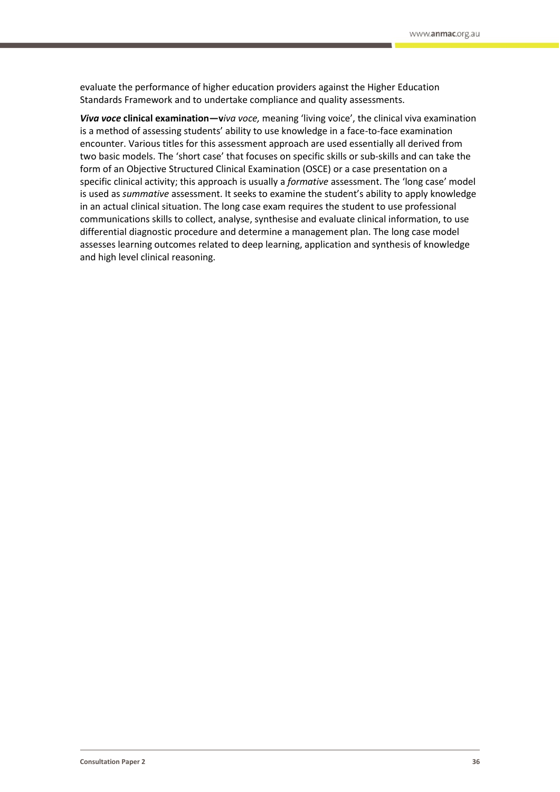evaluate the performance of higher education providers against the Higher Education Standards Framework and to undertake compliance and quality assessments.

*Viva voce* **clinical examination—v***iva voce,* meaning 'living voice', the clinical viva examination is a method of assessing students' ability to use knowledge in a face-to-face examination encounter. Various titles for this assessment approach are used essentially all derived from two basic models. The 'short case' that focuses on specific skills or sub-skills and can take the form of an Objective Structured Clinical Examination (OSCE) or a case presentation on a specific clinical activity; this approach is usually a *formative* assessment. The 'long case' model is used as *summative* assessment. It seeks to examine the student's ability to apply knowledge in an actual clinical situation. The long case exam requires the student to use professional communications skills to collect, analyse, synthesise and evaluate clinical information, to use differential diagnostic procedure and determine a management plan. The long case model assesses learning outcomes related to deep learning, application and synthesis of knowledge and high level clinical reasoning.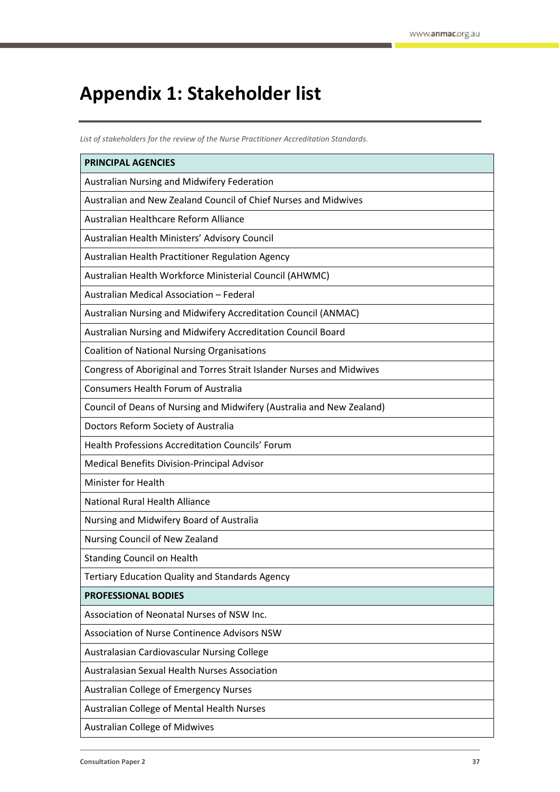# <span id="page-36-0"></span>**Appendix 1: Stakeholder list**

*List of stakeholders for the review of the Nurse Practitioner Accreditation Standards.*

| <b>PRINCIPAL AGENCIES</b>                                             |
|-----------------------------------------------------------------------|
| Australian Nursing and Midwifery Federation                           |
| Australian and New Zealand Council of Chief Nurses and Midwives       |
| Australian Healthcare Reform Alliance                                 |
| Australian Health Ministers' Advisory Council                         |
| Australian Health Practitioner Regulation Agency                      |
| Australian Health Workforce Ministerial Council (AHWMC)               |
| Australian Medical Association - Federal                              |
| Australian Nursing and Midwifery Accreditation Council (ANMAC)        |
| Australian Nursing and Midwifery Accreditation Council Board          |
| <b>Coalition of National Nursing Organisations</b>                    |
| Congress of Aboriginal and Torres Strait Islander Nurses and Midwives |
| Consumers Health Forum of Australia                                   |
| Council of Deans of Nursing and Midwifery (Australia and New Zealand) |
| Doctors Reform Society of Australia                                   |
| Health Professions Accreditation Councils' Forum                      |
| Medical Benefits Division-Principal Advisor                           |
| Minister for Health                                                   |
| <b>National Rural Health Alliance</b>                                 |
| Nursing and Midwifery Board of Australia                              |
| Nursing Council of New Zealand                                        |
| <b>Standing Council on Health</b>                                     |
| <b>Tertiary Education Quality and Standards Agency</b>                |
| <b>PROFESSIONAL BODIES</b>                                            |
| Association of Neonatal Nurses of NSW Inc.                            |
| Association of Nurse Continence Advisors NSW                          |
| Australasian Cardiovascular Nursing College                           |
| Australasian Sexual Health Nurses Association                         |
| Australian College of Emergency Nurses                                |
| Australian College of Mental Health Nurses                            |
| <b>Australian College of Midwives</b>                                 |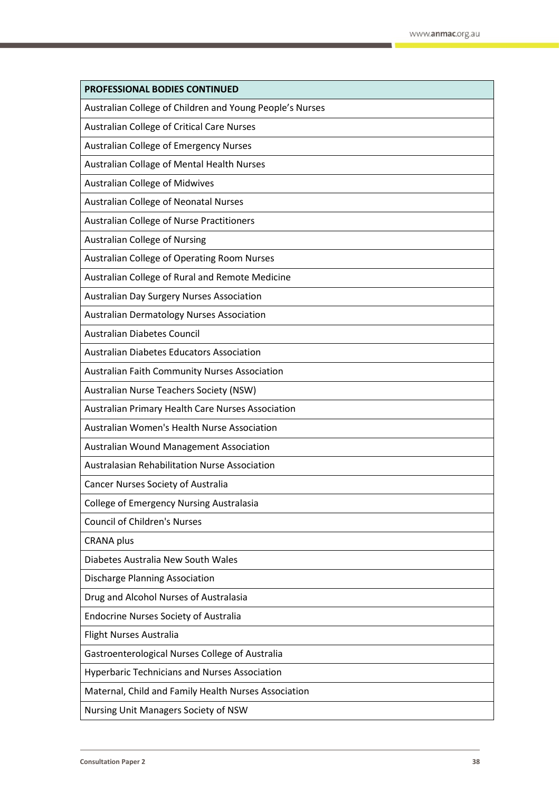| PROFESSIONAL BODIES CONTINUED                            |
|----------------------------------------------------------|
| Australian College of Children and Young People's Nurses |
| Australian College of Critical Care Nurses               |
| Australian College of Emergency Nurses                   |
| Australian Collage of Mental Health Nurses               |
| <b>Australian College of Midwives</b>                    |
| Australian College of Neonatal Nurses                    |
| Australian College of Nurse Practitioners                |
| <b>Australian College of Nursing</b>                     |
| Australian College of Operating Room Nurses              |
| Australian College of Rural and Remote Medicine          |
| Australian Day Surgery Nurses Association                |
| <b>Australian Dermatology Nurses Association</b>         |
| <b>Australian Diabetes Council</b>                       |
| <b>Australian Diabetes Educators Association</b>         |
| Australian Faith Community Nurses Association            |
| Australian Nurse Teachers Society (NSW)                  |
| Australian Primary Health Care Nurses Association        |
| Australian Women's Health Nurse Association              |
| Australian Wound Management Association                  |
| Australasian Rehabilitation Nurse Association            |
| Cancer Nurses Society of Australia                       |
| College of Emergency Nursing Australasia                 |
| <b>Council of Children's Nurses</b>                      |
| <b>CRANA</b> plus                                        |
| Diabetes Australia New South Wales                       |
| Discharge Planning Association                           |
| Drug and Alcohol Nurses of Australasia                   |
| <b>Endocrine Nurses Society of Australia</b>             |
| Flight Nurses Australia                                  |
| Gastroenterological Nurses College of Australia          |
| <b>Hyperbaric Technicians and Nurses Association</b>     |
| Maternal, Child and Family Health Nurses Association     |
| Nursing Unit Managers Society of NSW                     |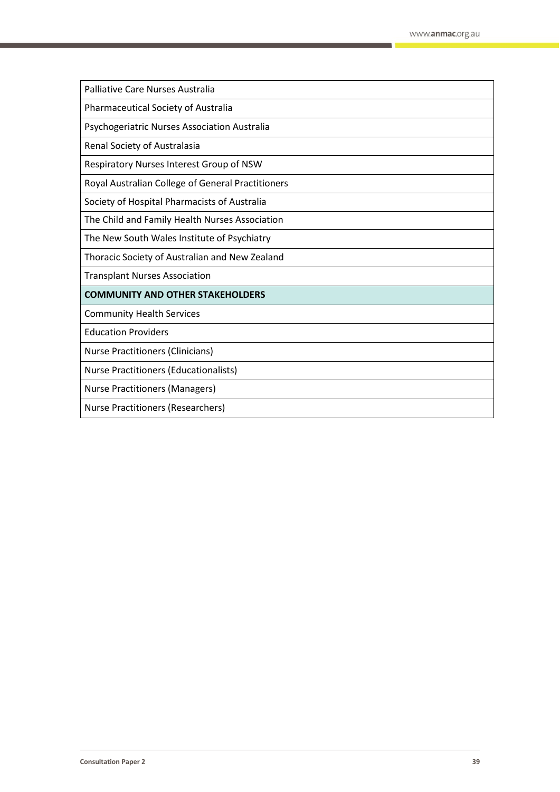Palliative Care Nurses Australia

Pharmaceutical Society of Australia

Psychogeriatric Nurses Association Australia

Renal Society of Australasia

Respiratory Nurses Interest Group of NSW

Royal Australian College of General Practitioners

Society of Hospital Pharmacists of Australia

The Child and Family Health Nurses Association

The New South Wales Institute of Psychiatry

Thoracic Society of Australian and New Zealand

Transplant Nurses Association

#### **COMMUNITY AND OTHER STAKEHOLDERS**

Community Health Services

Education Providers

Nurse Practitioners (Clinicians)

Nurse Practitioners (Educationalists)

Nurse Practitioners (Managers)

Nurse Practitioners (Researchers)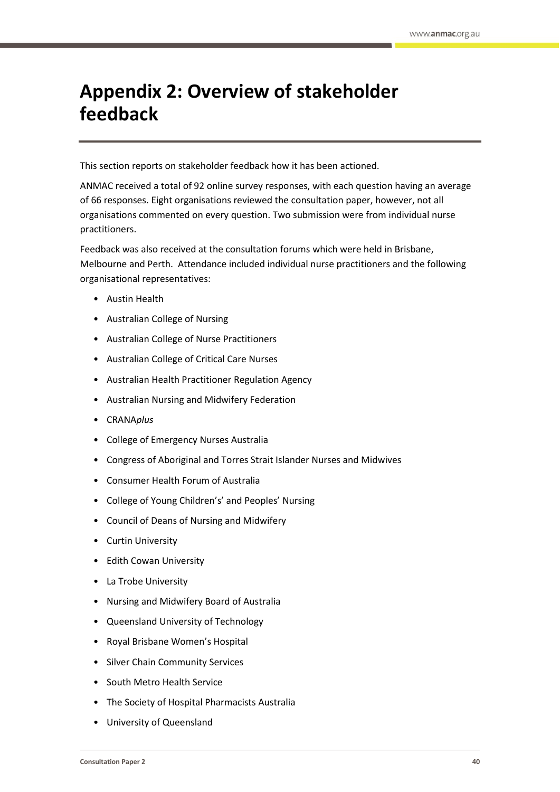# <span id="page-39-0"></span>**Appendix 2: Overview of stakeholder feedback**

This section reports on stakeholder feedback how it has been actioned.

ANMAC received a total of 92 online survey responses, with each question having an average of 66 responses. Eight organisations reviewed the consultation paper, however, not all organisations commented on every question. Two submission were from individual nurse practitioners.

Feedback was also received at the consultation forums which were held in Brisbane, Melbourne and Perth. Attendance included individual nurse practitioners and the following organisational representatives:

- Austin Health
- Australian College of Nursing
- Australian College of Nurse Practitioners
- Australian College of Critical Care Nurses
- Australian Health Practitioner Regulation Agency
- Australian Nursing and Midwifery Federation
- CRANA*plus*
- College of Emergency Nurses Australia
- Congress of Aboriginal and Torres Strait Islander Nurses and Midwives
- Consumer Health Forum of Australia
- College of Young Children's' and Peoples' Nursing
- Council of Deans of Nursing and Midwifery
- **Curtin University**
- **Edith Cowan University**
- La Trobe University
- Nursing and Midwifery Board of Australia
- Queensland University of Technology
- Royal Brisbane Women's Hospital
- Silver Chain Community Services
- South Metro Health Service
- The Society of Hospital Pharmacists Australia
- University of Queensland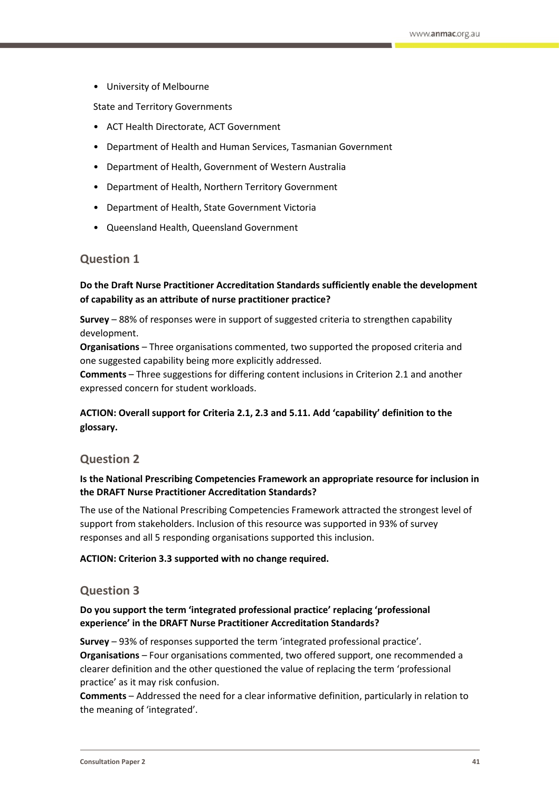• University of Melbourne

State and Territory Governments

- ACT Health Directorate, ACT Government
- Department of Health and Human Services, Tasmanian Government
- Department of Health, Government of Western Australia
- Department of Health, Northern Territory Government
- Department of Health, State Government Victoria
- Queensland Health, Queensland Government

#### **Question 1**

## **Do the Draft Nurse Practitioner Accreditation Standards sufficiently enable the development of capability as an attribute of nurse practitioner practice?**

**Survey** – 88% of responses were in support of suggested criteria to strengthen capability development.

**Organisations** – Three organisations commented, two supported the proposed criteria and one suggested capability being more explicitly addressed.

**Comments** – Three suggestions for differing content inclusions in Criterion 2.1 and another expressed concern for student workloads.

## **ACTION: Overall support for Criteria 2.1, 2.3 and 5.11. Add 'capability' definition to the glossary.**

#### **Question 2**

#### **Is the National Prescribing Competencies Framework an appropriate resource for inclusion in the DRAFT Nurse Practitioner Accreditation Standards?**

The use of the National Prescribing Competencies Framework attracted the strongest level of support from stakeholders. Inclusion of this resource was supported in 93% of survey responses and all 5 responding organisations supported this inclusion.

#### **ACTION: Criterion 3.3 supported with no change required.**

#### **Question 3**

#### **Do you support the term 'integrated professional practice' replacing 'professional experience' in the DRAFT Nurse Practitioner Accreditation Standards?**

**Survey** – 93% of responses supported the term 'integrated professional practice'. **Organisations** – Four organisations commented, two offered support, one recommended a clearer definition and the other questioned the value of replacing the term 'professional practice' as it may risk confusion.

**Comments** – Addressed the need for a clear informative definition, particularly in relation to the meaning of 'integrated'.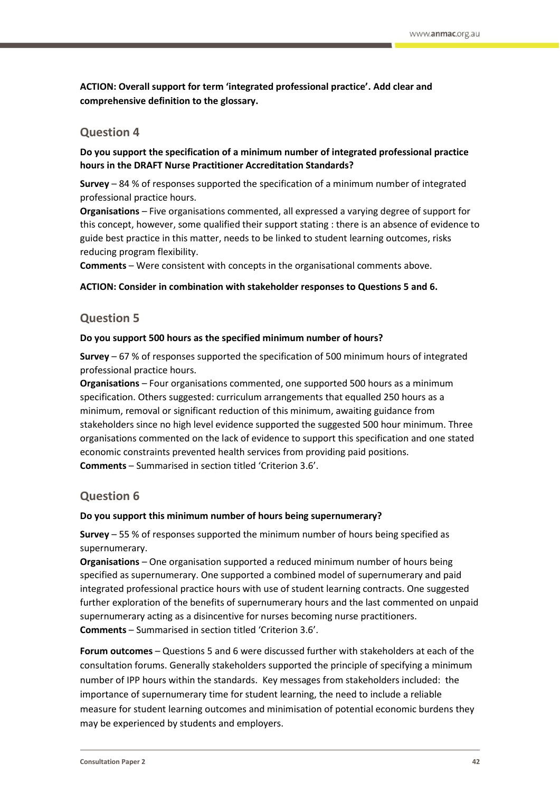**ACTION: Overall support for term 'integrated professional practice'. Add clear and comprehensive definition to the glossary.**

## **Question 4**

**Do you support the specification of a minimum number of integrated professional practice hours in the DRAFT Nurse Practitioner Accreditation Standards?**

**Survey** – 84 % of responses supported the specification of a minimum number of integrated professional practice hours.

**Organisations** – Five organisations commented, all expressed a varying degree of support for this concept, however, some qualified their support stating : there is an absence of evidence to guide best practice in this matter, needs to be linked to student learning outcomes, risks reducing program flexibility.

**Comments** – Were consistent with concepts in the organisational comments above.

#### **ACTION: Consider in combination with stakeholder responses to Questions 5 and 6.**

## **Question 5**

#### **Do you support 500 hours as the specified minimum number of hours?**

**Survey** – 67 % of responses supported the specification of 500 minimum hours of integrated professional practice hours.

**Organisations** – Four organisations commented, one supported 500 hours as a minimum specification. Others suggested: curriculum arrangements that equalled 250 hours as a minimum, removal or significant reduction of this minimum, awaiting guidance from stakeholders since no high level evidence supported the suggested 500 hour minimum. Three organisations commented on the lack of evidence to support this specification and one stated economic constraints prevented health services from providing paid positions. **Comments** – Summarised in section titled 'Criterion 3.6'.

## **Question 6**

#### **Do you support this minimum number of hours being supernumerary?**

**Survey** – 55 % of responses supported the minimum number of hours being specified as supernumerary.

**Organisations** – One organisation supported a reduced minimum number of hours being specified as supernumerary. One supported a combined model of supernumerary and paid integrated professional practice hours with use of student learning contracts. One suggested further exploration of the benefits of supernumerary hours and the last commented on unpaid supernumerary acting as a disincentive for nurses becoming nurse practitioners. **Comments** – Summarised in section titled 'Criterion 3.6'.

**Forum outcomes** – Questions 5 and 6 were discussed further with stakeholders at each of the consultation forums. Generally stakeholders supported the principle of specifying a minimum number of IPP hours within the standards. Key messages from stakeholders included: the importance of supernumerary time for student learning, the need to include a reliable measure for student learning outcomes and minimisation of potential economic burdens they may be experienced by students and employers.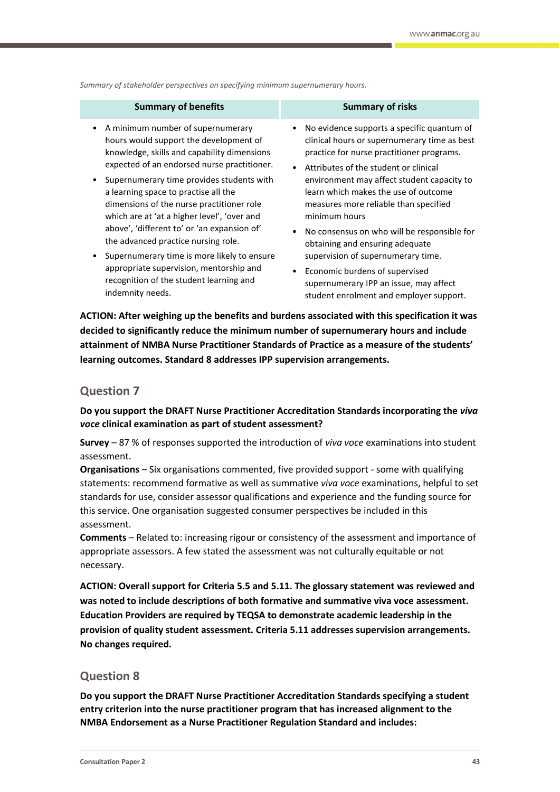*Summary of stakeholder perspectives on specifying minimum supernumerary hours.*

| <b>Summary of benefits</b>                  | <b>Summary of risks</b>                      |
|---------------------------------------------|----------------------------------------------|
| A minimum number of supernumerary           | No evidence supports a specific quantum of   |
| hours would support the development of      | clinical hours or supernumerary time as best |
| knowledge, skills and capability dimensions | practice for nurse practitioner programs.    |
| expected of an endorsed nurse practitioner. | • Attributes of the student or clinical      |
| Supernumerary time provides students with   | environment may affect student capacity to   |
| a learning space to practise all the        | learn which makes the use of outcome         |
| dimensions of the nurse practitioner role   | measures more reliable than specified        |
| which are at 'at a higher level', 'over and | minimum hours                                |
| above', 'different to' or 'an expansion of' | No consensus on who will be responsible for  |
| the advanced practice nursing role.         | obtaining and ensuring adequate              |
| Supernumerary time is more likely to ensure | supervision of supernumerary time.           |
| appropriate supervision, mentorship and     | Economic burdens of supervised               |
| recognition of the student learning and     | supernumerary IPP an issue, may affect       |
| indemnity needs.                            | student enrolment and employer support.      |

**ACTION: After weighing up the benefits and burdens associated with this specification it was decided to significantly reduce the minimum number of supernumerary hours and include attainment of NMBA Nurse Practitioner Standards of Practice as a measure of the students' learning outcomes. Standard 8 addresses IPP supervision arrangements.**

## **Question 7**

**Do you support the DRAFT Nurse Practitioner Accreditation Standards incorporating the** *viva voce* **clinical examination as part of student assessment?**

**Survey** – 87 % of responses supported the introduction of *viva voce* examinations into student assessment.

**Organisations** – Six organisations commented, five provided support - some with qualifying statements: recommend formative as well as summative *viva voce* examinations, helpful to set standards for use, consider assessor qualifications and experience and the funding source for this service. One organisation suggested consumer perspectives be included in this assessment.

**Comments** – Related to: increasing rigour or consistency of the assessment and importance of appropriate assessors. A few stated the assessment was not culturally equitable or not necessary.

**ACTION: Overall support for Criteria 5.5 and 5.11. The glossary statement was reviewed and was noted to include descriptions of both formative and summative viva voce assessment. Education Providers are required by TEQSA to demonstrate academic leadership in the provision of quality student assessment. Criteria 5.11 addresses supervision arrangements. No changes required.**

## **Question 8**

**Do you support the DRAFT Nurse Practitioner Accreditation Standards specifying a student entry criterion into the nurse practitioner program that has increased alignment to the NMBA Endorsement as a Nurse Practitioner Regulation Standard and includes:**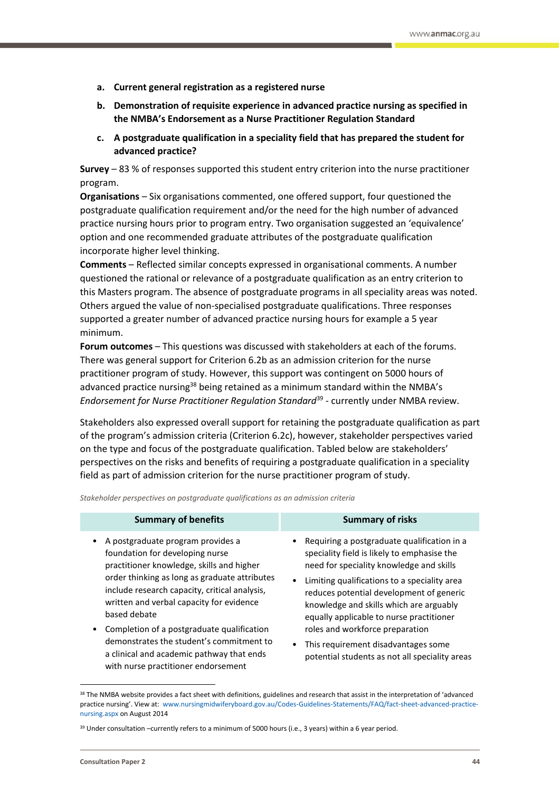- **a. Current general registration as a registered nurse**
- **b. Demonstration of requisite experience in advanced practice nursing as specified in the NMBA's Endorsement as a Nurse Practitioner Regulation Standard**
- **c. A postgraduate qualification in a speciality field that has prepared the student for advanced practice?**

**Survey** – 83 % of responses supported this student entry criterion into the nurse practitioner program.

**Organisations** – Six organisations commented, one offered support, four questioned the postgraduate qualification requirement and/or the need for the high number of advanced practice nursing hours prior to program entry. Two organisation suggested an 'equivalence' option and one recommended graduate attributes of the postgraduate qualification incorporate higher level thinking.

**Comments** – Reflected similar concepts expressed in organisational comments. A number questioned the rational or relevance of a postgraduate qualification as an entry criterion to this Masters program. The absence of postgraduate programs in all speciality areas was noted. Others argued the value of non-specialised postgraduate qualifications. Three responses supported a greater number of advanced practice nursing hours for example a 5 year minimum.

**Forum outcomes** – This questions was discussed with stakeholders at each of the forums. There was general support for Criterion 6.2b as an admission criterion for the nurse practitioner program of study. However, this support was contingent on 5000 hours of advanced practice nursing<sup>38</sup> being retained as a minimum standard within the NMBA's Endorsement for Nurse Practitioner Regulation Standard<sup>39</sup> - currently under NMBA review.

Stakeholders also expressed overall support for retaining the postgraduate qualification as part of the program's admission criteria (Criterion 6.2c), however, stakeholder perspectives varied on the type and focus of the postgraduate qualification. Tabled below are stakeholders' perspectives on the risks and benefits of requiring a postgraduate qualification in a speciality field as part of admission criterion for the nurse practitioner program of study.

*Stakeholder perspectives on postgraduate qualifications as an admission criteria*

| <b>Summary of benefits</b>                                                                                                                                                                                                                                                      | <b>Summary of risks</b>                                                                                                                                                           |
|---------------------------------------------------------------------------------------------------------------------------------------------------------------------------------------------------------------------------------------------------------------------------------|-----------------------------------------------------------------------------------------------------------------------------------------------------------------------------------|
| A postgraduate program provides a<br>foundation for developing nurse<br>practitioner knowledge, skills and higher<br>order thinking as long as graduate attributes<br>include research capacity, critical analysis,<br>written and verbal capacity for evidence<br>based debate | • Requiring a postgraduate qualification in a<br>speciality field is likely to emphasise the<br>need for speciality knowledge and skills                                          |
|                                                                                                                                                                                                                                                                                 | • Limiting qualifications to a speciality area<br>reduces potential development of generic<br>knowledge and skills which are arguably<br>equally applicable to nurse practitioner |
| Completion of a postgraduate qualification                                                                                                                                                                                                                                      | roles and workforce preparation                                                                                                                                                   |
| demonstrates the student's commitment to<br>a clinical and academic pathway that ends<br>with nurse practitioner endorsement                                                                                                                                                    | This requirement disadvantages some<br>$\bullet$<br>potential students as not all speciality areas                                                                                |

<sup>&</sup>lt;sup>38</sup> The NMBA website provides a fact sheet with definitions, guidelines and research that assist in the interpretation of 'advanced practice nursing'. View at: www.nursingmidwiferyboard.gov.au/Codes-Guidelines-Statements/FAQ/fact-sheet-advanced-practicenursing.aspx on August 2014

 $\overline{a}$ 

 $39$  Under consultation –currently refers to a minimum of 5000 hours (i.e., 3 years) within a 6 year period.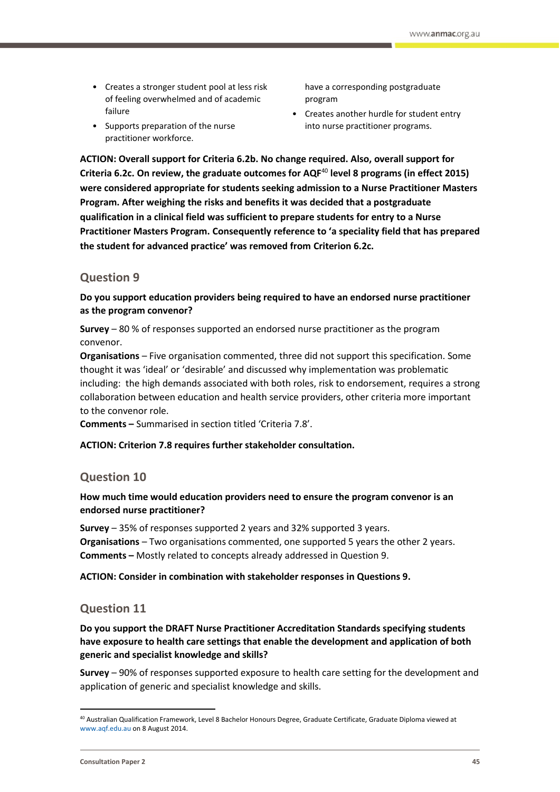- Creates a stronger student pool at less risk of feeling overwhelmed and of academic failure
- Supports preparation of the nurse practitioner workforce.

have a corresponding postgraduate program

• Creates another hurdle for student entry into nurse practitioner programs.

**ACTION: Overall support for Criteria 6.2b. No change required. Also, overall support for Criteria 6.2c. On review, the graduate outcomes for AQF**<sup>40</sup> **level 8 programs (in effect 2015) were considered appropriate for students seeking admission to a Nurse Practitioner Masters Program. After weighing the risks and benefits it was decided that a postgraduate qualification in a clinical field was sufficient to prepare students for entry to a Nurse Practitioner Masters Program. Consequently reference to 'a speciality field that has prepared the student for advanced practice' was removed from Criterion 6.2c.**

## **Question 9**

**Do you support education providers being required to have an endorsed nurse practitioner as the program convenor?**

**Survey** – 80 % of responses supported an endorsed nurse practitioner as the program convenor.

**Organisations** – Five organisation commented, three did not support this specification. Some thought it was 'ideal' or 'desirable' and discussed why implementation was problematic including: the high demands associated with both roles, risk to endorsement, requires a strong collaboration between education and health service providers, other criteria more important to the convenor role.

**Comments –** Summarised in section titled 'Criteria 7.8'.

#### **ACTION: Criterion 7.8 requires further stakeholder consultation.**

## **Question 10**

#### **How much time would education providers need to ensure the program convenor is an endorsed nurse practitioner?**

**Survey** – 35% of responses supported 2 years and 32% supported 3 years. **Organisations** – Two organisations commented, one supported 5 years the other 2 years. **Comments –** Mostly related to concepts already addressed in Question 9.

**ACTION: Consider in combination with stakeholder responses in Questions 9.**

## **Question 11**

#### **Do you support the DRAFT Nurse Practitioner Accreditation Standards specifying students have exposure to health care settings that enable the development and application of both generic and specialist knowledge and skills?**

**Survey** – 90% of responses supported exposure to health care setting for the development and application of generic and specialist knowledge and skills.

<sup>40</sup> Australian Qualification Framework, Level 8 Bachelor Honours Degree, Graduate Certificate, Graduate Diploma viewed at [www.aqf.edu.au](http://www.aqf.edu.au/) on 8 August 2014.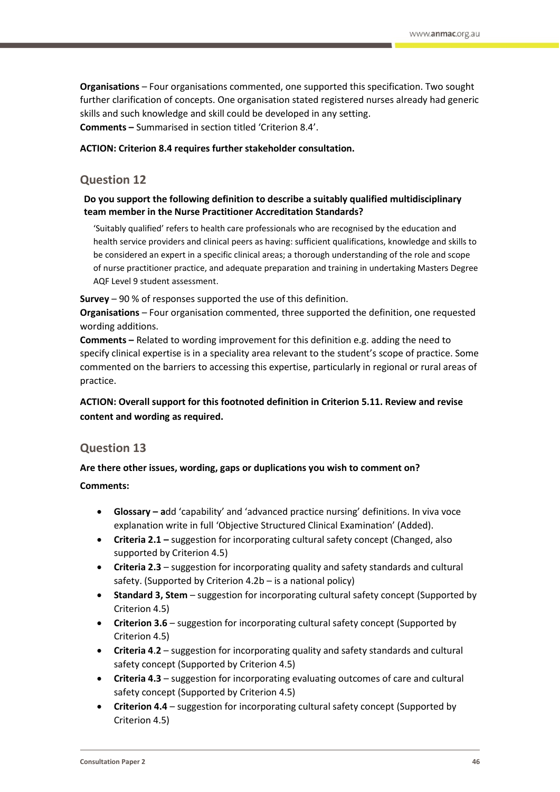**Organisations** – Four organisations commented, one supported this specification. Two sought further clarification of concepts. One organisation stated registered nurses already had generic skills and such knowledge and skill could be developed in any setting. **Comments –** Summarised in section titled 'Criterion 8.4'.

**ACTION: Criterion 8.4 requires further stakeholder consultation.**

## **Question 12**

#### **Do you support the following definition to describe a suitably qualified multidisciplinary team member in the Nurse Practitioner Accreditation Standards?**

'Suitably qualified' refers to health care professionals who are recognised by the education and health service providers and clinical peers as having: sufficient qualifications, knowledge and skills to be considered an expert in a specific clinical areas; a thorough understanding of the role and scope of nurse practitioner practice, and adequate preparation and training in undertaking Masters Degree AQF Level 9 student assessment.

**Survey** – 90 % of responses supported the use of this definition.

**Organisations** – Four organisation commented, three supported the definition, one requested wording additions.

**Comments –** Related to wording improvement for this definition e.g. adding the need to specify clinical expertise is in a speciality area relevant to the student's scope of practice. Some commented on the barriers to accessing this expertise, particularly in regional or rural areas of practice.

**ACTION: Overall support for this footnoted definition in Criterion 5.11. Review and revise content and wording as required.**

## **Question 13**

#### **Are there other issues, wording, gaps or duplications you wish to comment on?**

**Comments:**

- **Glossary – a**dd 'capability' and 'advanced practice nursing' definitions. In viva voce explanation write in full 'Objective Structured Clinical Examination' (Added).
- **Criteria 2.1 –** suggestion for incorporating cultural safety concept (Changed, also supported by Criterion 4.5)
- **Criteria 2.3** suggestion for incorporating quality and safety standards and cultural safety. (Supported by Criterion 4.2b – is a national policy)
- **Standard 3, Stem** suggestion for incorporating cultural safety concept (Supported by Criterion 4.5)
- **Criterion 3.6** suggestion for incorporating cultural safety concept (Supported by Criterion 4.5)
- **Criteria 4**.**2**  suggestion for incorporating quality and safety standards and cultural safety concept (Supported by Criterion 4.5)
- **Criteria 4.3** suggestion for incorporating evaluating outcomes of care and cultural safety concept (Supported by Criterion 4.5)
- **Criterion 4.4** suggestion for incorporating cultural safety concept (Supported by Criterion 4.5)